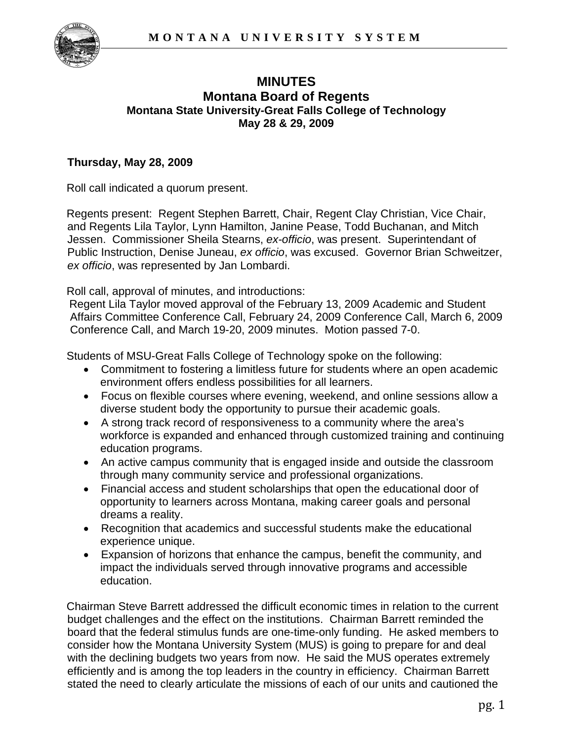

## **MINUTES Montana Board of Regents Montana State University-Great Falls College of Technology May 28 & 29, 2009**

## **Thursday, May 28, 2009**

Roll call indicated a quorum present.

Regents present: Regent Stephen Barrett, Chair, Regent Clay Christian, Vice Chair, and Regents Lila Taylor, Lynn Hamilton, Janine Pease, Todd Buchanan, and Mitch Jessen. Commissioner Sheila Stearns, *ex-officio*, was present. Superintendant of Public Instruction, Denise Juneau, *ex officio*, was excused. Governor Brian Schweitzer, *ex officio*, was represented by Jan Lombardi.

Roll call, approval of minutes, and introductions:

Regent Lila Taylor moved approval of the February 13, 2009 Academic and Student Affairs Committee Conference Call, February 24, 2009 Conference Call, March 6, 2009 Conference Call, and March 19-20, 2009 minutes. Motion passed 7-0.

Students of MSU-Great Falls College of Technology spoke on the following:

- Commitment to fostering a limitless future for students where an open academic environment offers endless possibilities for all learners.
- Focus on flexible courses where evening, weekend, and online sessions allow a diverse student body the opportunity to pursue their academic goals.
- A strong track record of responsiveness to a community where the area's workforce is expanded and enhanced through customized training and continuing education programs.
- An active campus community that is engaged inside and outside the classroom through many community service and professional organizations.
- Financial access and student scholarships that open the educational door of opportunity to learners across Montana, making career goals and personal dreams a reality.
- Recognition that academics and successful students make the educational experience unique.
- Expansion of horizons that enhance the campus, benefit the community, and impact the individuals served through innovative programs and accessible education.

Chairman Steve Barrett addressed the difficult economic times in relation to the current budget challenges and the effect on the institutions. Chairman Barrett reminded the board that the federal stimulus funds are one-time-only funding. He asked members to consider how the Montana University System (MUS) is going to prepare for and deal with the declining budgets two years from now. He said the MUS operates extremely efficiently and is among the top leaders in the country in efficiency. Chairman Barrett stated the need to clearly articulate the missions of each of our units and cautioned the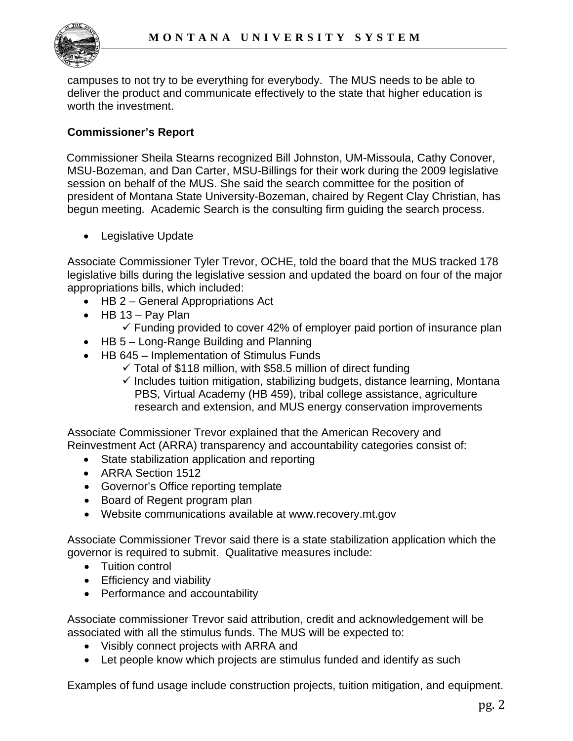

campuses to not try to be everything for everybody. The MUS needs to be able to deliver the product and communicate effectively to the state that higher education is worth the investment.

## **Commissioner's Report**

Commissioner Sheila Stearns recognized Bill Johnston, UM-Missoula, Cathy Conover, MSU-Bozeman, and Dan Carter, MSU-Billings for their work during the 2009 legislative session on behalf of the MUS. She said the search committee for the position of president of Montana State University-Bozeman, chaired by Regent Clay Christian, has begun meeting. Academic Search is the consulting firm guiding the search process.

• Legislative Update

Associate Commissioner Tyler Trevor, OCHE, told the board that the MUS tracked 178 legislative bills during the legislative session and updated the board on four of the major appropriations bills, which included:

- HB 2 General Appropriations Act
- $\bullet$  HB 13 Pav Plan
	- $\checkmark$  Funding provided to cover 42% of employer paid portion of insurance plan
- HB 5 Long-Range Building and Planning
- HB 645 Implementation of Stimulus Funds
	- $\checkmark$  Total of \$118 million, with \$58.5 million of direct funding
	- $\checkmark$  Includes tuition mitigation, stabilizing budgets, distance learning, Montana PBS, Virtual Academy (HB 459), tribal college assistance, agriculture research and extension, and MUS energy conservation improvements

Associate Commissioner Trevor explained that the American Recovery and Reinvestment Act (ARRA) transparency and accountability categories consist of:

- State stabilization application and reporting
- ARRA Section 1512
- Governor's Office reporting template
- Board of Regent program plan
- Website communications available at [www.recovery.mt.gov](http://www.recovery.mt.gov/)

Associate Commissioner Trevor said there is a state stabilization application which the governor is required to submit. Qualitative measures include:

- Tuition control
- Efficiency and viability
- Performance and accountability

Associate commissioner Trevor said attribution, credit and acknowledgement will be associated with all the stimulus funds. The MUS will be expected to:

- Visibly connect projects with ARRA and
- Let people know which projects are stimulus funded and identify as such

Examples of fund usage include construction projects, tuition mitigation, and equipment.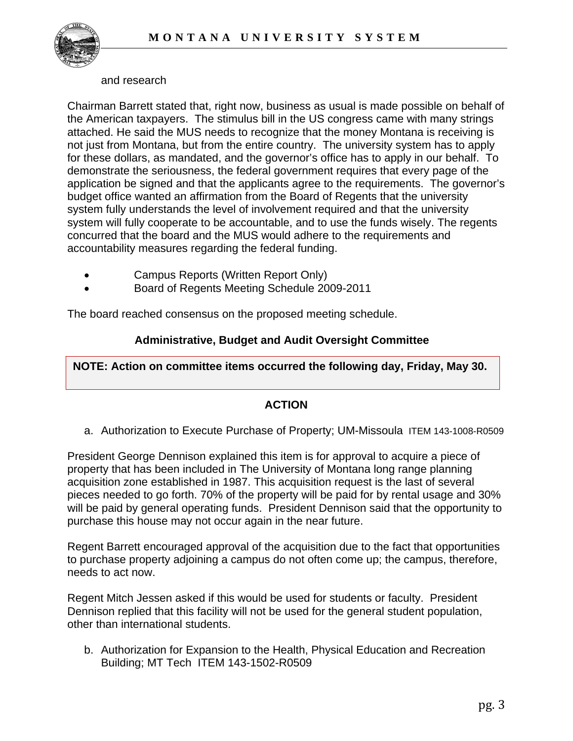

#### and research

Chairman Barrett stated that, right now, business as usual is made possible on behalf of the American taxpayers. The stimulus bill in the US congress came with many strings attached. He said the MUS needs to recognize that the money Montana is receiving is not just from Montana, but from the entire country. The university system has to apply for these dollars, as mandated, and the governor's office has to apply in our behalf. To demonstrate the seriousness, the federal government requires that every page of the application be signed and that the applicants agree to the requirements. The governor's budget office wanted an affirmation from the Board of Regents that the university system fully understands the level of involvement required and that the university system will fully cooperate to be accountable, and to use the funds wisely. The regents concurred that the board and the MUS would adhere to the requirements and accountability measures regarding the federal funding.

- Campus Reports (Written Report Only)
- Board of Regents Meeting Schedule 2009-2011

The board reached consensus on the proposed meeting schedule.

## **Administrative, Budget and Audit Oversight Committee**

**NOTE: Action on committee items occurred the following day, Friday, May 30.** 

## **ACTION**

a. Authorization to Execute Purchase of Property; UM-Missoula ITEM 143-1008-R0509

President George Dennison explained this item is for approval to acquire a piece of property that has been included in The University of Montana long range planning acquisition zone established in 1987. This acquisition request is the last of several pieces needed to go forth. 70% of the property will be paid for by rental usage and 30% will be paid by general operating funds. President Dennison said that the opportunity to purchase this house may not occur again in the near future.

Regent Barrett encouraged approval of the acquisition due to the fact that opportunities to purchase property adjoining a campus do not often come up; the campus, therefore, needs to act now.

Regent Mitch Jessen asked if this would be used for students or faculty. President Dennison replied that this facility will not be used for the general student population, other than international students.

b. Authorization for Expansion to the Health, Physical Education and Recreation Building; MT Tech ITEM 143-1502-R0509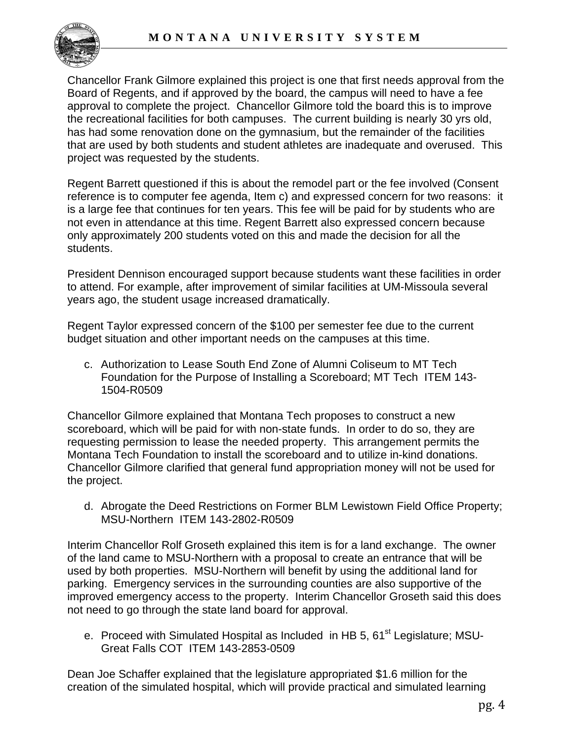

Chancellor Frank Gilmore explained this project is one that first needs approval from the Board of Regents, and if approved by the board, the campus will need to have a fee approval to complete the project. Chancellor Gilmore told the board this is to improve the recreational facilities for both campuses. The current building is nearly 30 yrs old, has had some renovation done on the gymnasium, but the remainder of the facilities that are used by both students and student athletes are inadequate and overused. This project was requested by the students.

Regent Barrett questioned if this is about the remodel part or the fee involved (Consent reference is to computer fee agenda, Item c) and expressed concern for two reasons: it is a large fee that continues for ten years. This fee will be paid for by students who are not even in attendance at this time. Regent Barrett also expressed concern because only approximately 200 students voted on this and made the decision for all the students.

President Dennison encouraged support because students want these facilities in order to attend. For example, after improvement of similar facilities at UM-Missoula several years ago, the student usage increased dramatically.

Regent Taylor expressed concern of the \$100 per semester fee due to the current budget situation and other important needs on the campuses at this time.

c. Authorization to Lease South End Zone of Alumni Coliseum to MT Tech Foundation for the Purpose of Installing a Scoreboard; MT Tech ITEM 143- 1504-R0509

Chancellor Gilmore explained that Montana Tech proposes to construct a new scoreboard, which will be paid for with non-state funds. In order to do so, they are requesting permission to lease the needed property. This arrangement permits the Montana Tech Foundation to install the scoreboard and to utilize in-kind donations. Chancellor Gilmore clarified that general fund appropriation money will not be used for the project.

d. Abrogate the Deed Restrictions on Former BLM Lewistown Field Office Property; MSU-Northern ITEM 143-2802-R0509

Interim Chancellor Rolf Groseth explained this item is for a land exchange. The owner of the land came to MSU-Northern with a proposal to create an entrance that will be used by both properties. MSU-Northern will benefit by using the additional land for parking. Emergency services in the surrounding counties are also supportive of the improved emergency access to the property. Interim Chancellor Groseth said this does not need to go through the state land board for approval.

e. Proceed with Simulated Hospital as Included in HB 5, 61<sup>st</sup> Legislature; MSU-Great Falls COT ITEM 143-2853-0509

Dean Joe Schaffer explained that the legislature appropriated \$1.6 million for the creation of the simulated hospital, which will provide practical and simulated learning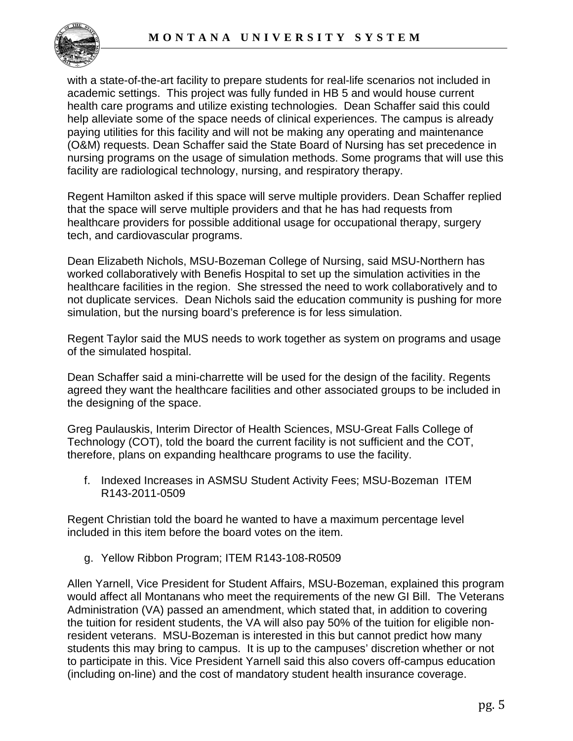

with a state-of-the-art facility to prepare students for real-life scenarios not included in academic settings. This project was fully funded in HB 5 and would house current health care programs and utilize existing technologies. Dean Schaffer said this could help alleviate some of the space needs of clinical experiences. The campus is already paying utilities for this facility and will not be making any operating and maintenance (O&M) requests. Dean Schaffer said the State Board of Nursing has set precedence in nursing programs on the usage of simulation methods. Some programs that will use this facility are radiological technology, nursing, and respiratory therapy.

Regent Hamilton asked if this space will serve multiple providers. Dean Schaffer replied that the space will serve multiple providers and that he has had requests from healthcare providers for possible additional usage for occupational therapy, surgery tech, and cardiovascular programs.

Dean Elizabeth Nichols, MSU-Bozeman College of Nursing, said MSU-Northern has worked collaboratively with Benefis Hospital to set up the simulation activities in the healthcare facilities in the region. She stressed the need to work collaboratively and to not duplicate services. Dean Nichols said the education community is pushing for more simulation, but the nursing board's preference is for less simulation.

Regent Taylor said the MUS needs to work together as system on programs and usage of the simulated hospital.

Dean Schaffer said a mini-charrette will be used for the design of the facility. Regents agreed they want the healthcare facilities and other associated groups to be included in the designing of the space.

Greg Paulauskis, Interim Director of Health Sciences, MSU-Great Falls College of Technology (COT), told the board the current facility is not sufficient and the COT, therefore, plans on expanding healthcare programs to use the facility.

f. Indexed Increases in ASMSU Student Activity Fees; MSU-Bozeman ITEM R143-2011-0509

Regent Christian told the board he wanted to have a maximum percentage level included in this item before the board votes on the item.

g. Yellow Ribbon Program; [ITEM R143-108-R0509](http://mus.edu/board/meetings/2009/May09/AdminBudget/ITEM143-108-R0509.pdf) 

Allen Yarnell, Vice President for Student Affairs, MSU-Bozeman, explained this program would affect all Montanans who meet the requirements of the new GI Bill. The Veterans Administration (VA) passed an amendment, which stated that, in addition to covering the tuition for resident students, the VA will also pay 50% of the tuition for eligible nonresident veterans. MSU-Bozeman is interested in this but cannot predict how many students this may bring to campus. It is up to the campuses' discretion whether or not to participate in this. Vice President Yarnell said this also covers off-campus education (including on-line) and the cost of mandatory student health insurance coverage.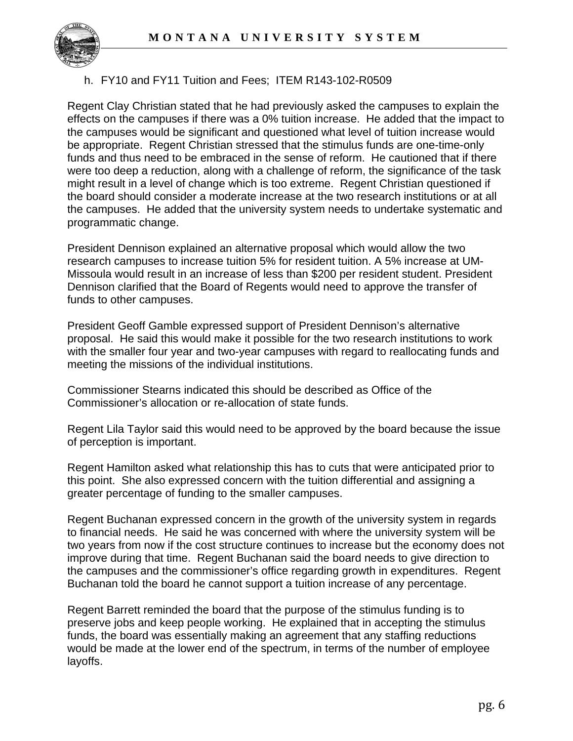

## h. FY10 and FY11 Tuition and Fees; ITEM R143-102-R0509

Regent Clay Christian stated that he had previously asked the campuses to explain the effects on the campuses if there was a 0% tuition increase. He added that the impact to the campuses would be significant and questioned what level of tuition increase would be appropriate. Regent Christian stressed that the stimulus funds are one-time-only funds and thus need to be embraced in the sense of reform. He cautioned that if there were too deep a reduction, along with a challenge of reform, the significance of the task might result in a level of change which is too extreme. Regent Christian questioned if the board should consider a moderate increase at the two research institutions or at all the campuses. He added that the university system needs to undertake systematic and programmatic change.

President Dennison explained an alternative proposal which would allow the two research campuses to increase tuition 5% for resident tuition. A 5% increase at UM-Missoula would result in an increase of less than \$200 per resident student. President Dennison clarified that the Board of Regents would need to approve the transfer of funds to other campuses.

President Geoff Gamble expressed support of President Dennison's alternative proposal. He said this would make it possible for the two research institutions to work with the smaller four year and two-year campuses with regard to reallocating funds and meeting the missions of the individual institutions.

Commissioner Stearns indicated this should be described as Office of the Commissioner's allocation or re-allocation of state funds.

Regent Lila Taylor said this would need to be approved by the board because the issue of perception is important.

Regent Hamilton asked what relationship this has to cuts that were anticipated prior to this point. She also expressed concern with the tuition differential and assigning a greater percentage of funding to the smaller campuses.

Regent Buchanan expressed concern in the growth of the university system in regards to financial needs. He said he was concerned with where the university system will be two years from now if the cost structure continues to increase but the economy does not improve during that time. Regent Buchanan said the board needs to give direction to the campuses and the commissioner's office regarding growth in expenditures. Regent Buchanan told the board he cannot support a tuition increase of any percentage.

Regent Barrett reminded the board that the purpose of the stimulus funding is to preserve jobs and keep people working. He explained that in accepting the stimulus funds, the board was essentially making an agreement that any staffing reductions would be made at the lower end of the spectrum, in terms of the number of employee layoffs.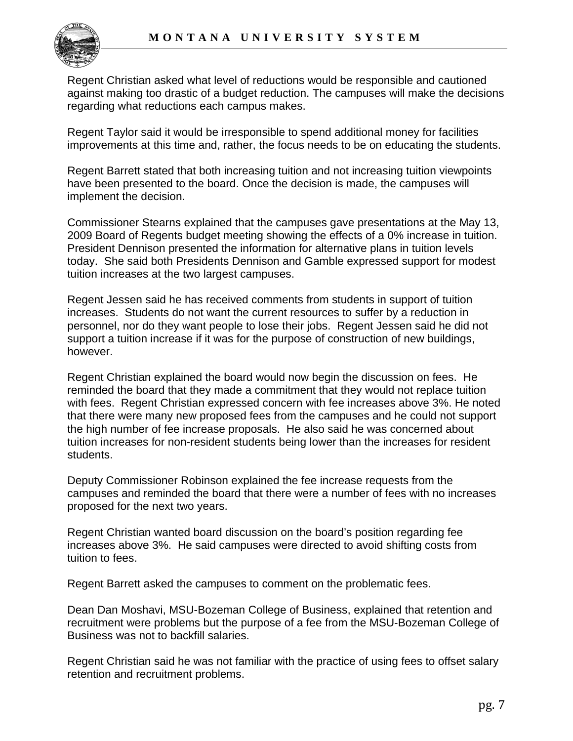

Regent Christian asked what level of reductions would be responsible and cautioned against making too drastic of a budget reduction. The campuses will make the decisions regarding what reductions each campus makes.

Regent Taylor said it would be irresponsible to spend additional money for facilities improvements at this time and, rather, the focus needs to be on educating the students.

Regent Barrett stated that both increasing tuition and not increasing tuition viewpoints have been presented to the board. Once the decision is made, the campuses will implement the decision.

Commissioner Stearns explained that the campuses gave presentations at the May 13, 2009 Board of Regents budget meeting showing the effects of a 0% increase in tuition. President Dennison presented the information for alternative plans in tuition levels today. She said both Presidents Dennison and Gamble expressed support for modest tuition increases at the two largest campuses.

Regent Jessen said he has received comments from students in support of tuition increases. Students do not want the current resources to suffer by a reduction in personnel, nor do they want people to lose their jobs. Regent Jessen said he did not support a tuition increase if it was for the purpose of construction of new buildings, however.

Regent Christian explained the board would now begin the discussion on fees. He reminded the board that they made a commitment that they would not replace tuition with fees. Regent Christian expressed concern with fee increases above 3%. He noted that there were many new proposed fees from the campuses and he could not support the high number of fee increase proposals. He also said he was concerned about tuition increases for non-resident students being lower than the increases for resident students.

Deputy Commissioner Robinson explained the fee increase requests from the campuses and reminded the board that there were a number of fees with no increases proposed for the next two years.

Regent Christian wanted board discussion on the board's position regarding fee increases above 3%. He said campuses were directed to avoid shifting costs from tuition to fees.

Regent Barrett asked the campuses to comment on the problematic fees.

Dean Dan Moshavi, MSU-Bozeman College of Business, explained that retention and recruitment were problems but the purpose of a fee from the MSU-Bozeman College of Business was not to backfill salaries.

Regent Christian said he was not familiar with the practice of using fees to offset salary retention and recruitment problems.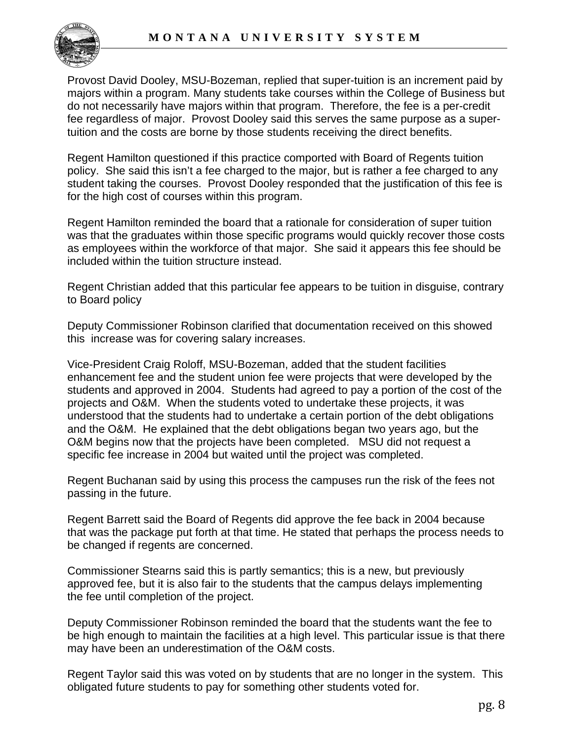

Provost David Dooley, MSU-Bozeman, replied that super-tuition is an increment paid by majors within a program. Many students take courses within the College of Business but do not necessarily have majors within that program. Therefore, the fee is a per-credit fee regardless of major. Provost Dooley said this serves the same purpose as a supertuition and the costs are borne by those students receiving the direct benefits.

Regent Hamilton questioned if this practice comported with Board of Regents tuition policy. She said this isn't a fee charged to the major, but is rather a fee charged to any student taking the courses. Provost Dooley responded that the justification of this fee is for the high cost of courses within this program.

Regent Hamilton reminded the board that a rationale for consideration of super tuition was that the graduates within those specific programs would quickly recover those costs as employees within the workforce of that major. She said it appears this fee should be included within the tuition structure instead.

Regent Christian added that this particular fee appears to be tuition in disguise, contrary to Board policy

Deputy Commissioner Robinson clarified that documentation received on this showed this increase was for covering salary increases.

Vice-President Craig Roloff, MSU-Bozeman, added that the student facilities enhancement fee and the student union fee were projects that were developed by the students and approved in 2004. Students had agreed to pay a portion of the cost of the projects and O&M. When the students voted to undertake these projects, it was understood that the students had to undertake a certain portion of the debt obligations and the O&M. He explained that the debt obligations began two years ago, but the O&M begins now that the projects have been completed. MSU did not request a specific fee increase in 2004 but waited until the project was completed.

Regent Buchanan said by using this process the campuses run the risk of the fees not passing in the future.

Regent Barrett said the Board of Regents did approve the fee back in 2004 because that was the package put forth at that time. He stated that perhaps the process needs to be changed if regents are concerned.

Commissioner Stearns said this is partly semantics; this is a new, but previously approved fee, but it is also fair to the students that the campus delays implementing the fee until completion of the project.

Deputy Commissioner Robinson reminded the board that the students want the fee to be high enough to maintain the facilities at a high level. This particular issue is that there may have been an underestimation of the O&M costs.

Regent Taylor said this was voted on by students that are no longer in the system. This obligated future students to pay for something other students voted for.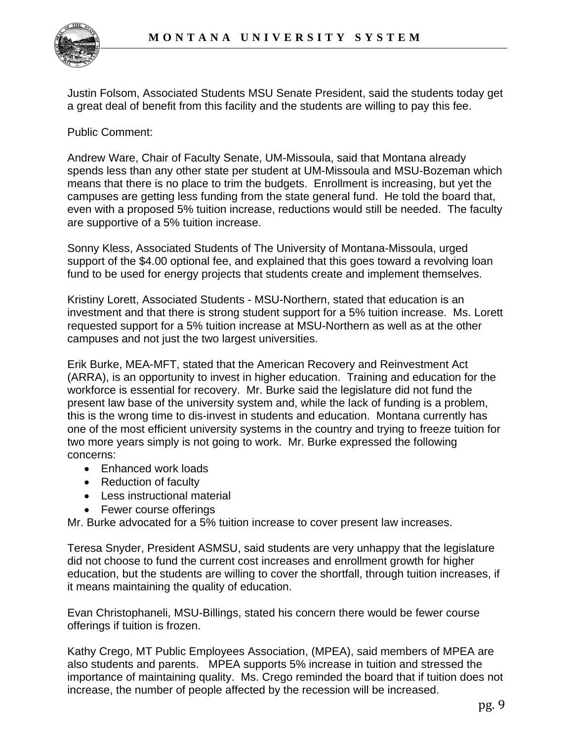Justin Folsom, Associated Students MSU Senate President, said the students today get a great deal of benefit from this facility and the students are willing to pay this fee.

Public Comment:

Andrew Ware, Chair of Faculty Senate, UM-Missoula, said that Montana already spends less than any other state per student at UM-Missoula and MSU-Bozeman which means that there is no place to trim the budgets. Enrollment is increasing, but yet the campuses are getting less funding from the state general fund. He told the board that, even with a proposed 5% tuition increase, reductions would still be needed. The faculty are supportive of a 5% tuition increase.

Sonny Kless, Associated Students of The University of Montana-Missoula, urged support of the \$4.00 optional fee, and explained that this goes toward a revolving loan fund to be used for energy projects that students create and implement themselves.

Kristiny Lorett, Associated Students - MSU-Northern, stated that education is an investment and that there is strong student support for a 5% tuition increase. Ms. Lorett requested support for a 5% tuition increase at MSU-Northern as well as at the other campuses and not just the two largest universities.

Erik Burke, MEA-MFT, stated that the American Recovery and Reinvestment Act (ARRA), is an opportunity to invest in higher education. Training and education for the workforce is essential for recovery. Mr. Burke said the legislature did not fund the present law base of the university system and, while the lack of funding is a problem, this is the wrong time to dis-invest in students and education. Montana currently has one of the most efficient university systems in the country and trying to freeze tuition for two more years simply is not going to work. Mr. Burke expressed the following concerns:

- Enhanced work loads
- Reduction of faculty
- Less instructional material
- Fewer course offerings

Mr. Burke advocated for a 5% tuition increase to cover present law increases.

Teresa Snyder, President ASMSU, said students are very unhappy that the legislature did not choose to fund the current cost increases and enrollment growth for higher education, but the students are willing to cover the shortfall, through tuition increases, if it means maintaining the quality of education.

Evan Christophaneli, MSU-Billings, stated his concern there would be fewer course offerings if tuition is frozen.

Kathy Crego, MT Public Employees Association, (MPEA), said members of MPEA are also students and parents. MPEA supports 5% increase in tuition and stressed the importance of maintaining quality. Ms. Crego reminded the board that if tuition does not increase, the number of people affected by the recession will be increased.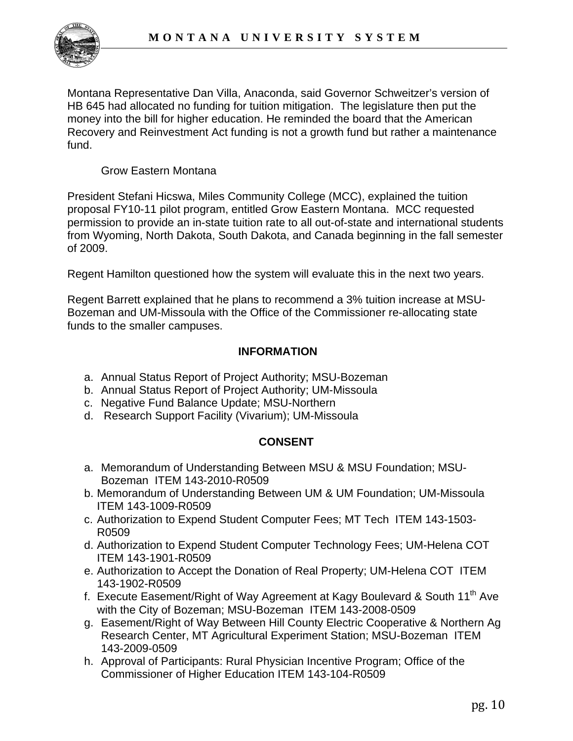

Montana Representative Dan Villa, Anaconda, said Governor Schweitzer's version of HB 645 had allocated no funding for tuition mitigation. The legislature then put the money into the bill for higher education. He reminded the board that the American Recovery and Reinvestment Act funding is not a growth fund but rather a maintenance fund.

Grow Eastern Montana

President Stefani Hicswa, Miles Community College (MCC), explained the tuition proposal FY10-11 pilot program, entitled Grow Eastern Montana. MCC requested permission to provide an in-state tuition rate to all out-of-state and international students from Wyoming, North Dakota, South Dakota, and Canada beginning in the fall semester of 2009.

Regent Hamilton questioned how the system will evaluate this in the next two years.

Regent Barrett explained that he plans to recommend a 3% tuition increase at MSU-Bozeman and UM-Missoula with the Office of the Commissioner re-allocating state funds to the smaller campuses.

## **INFORMATION**

- a. Annual Status Report of Project Authority; MSU-Bozeman
- b. Annual Status Report of Project Authority; UM-Missoula
- c. Negative Fund Balance Update; MSU-Northern
- d. Research Support Facility (Vivarium); UM-Missoula

## **CONSENT**

- a. Memorandum of Understanding Between MSU & MSU Foundation; MSU- Bozeman ITEM 143-2010-R0509
- b. Memorandum of Understanding Between UM & UM Foundation; UM-Missoula ITEM 143-1009-R0509
- c. Authorization to Expend Student Computer Fees; MT Tech ITEM 143-1503- R0509
- d. Authorization to Expend Student Computer Technology Fees; UM-Helena COT ITEM 143-1901-R0509
- e. Authorization to Accept the Donation of Real Property; UM-Helena COT ITEM 143-1902-R0509
- f. Execute Easement/Right of Way Agreement at Kagy Boulevard & South 11<sup>th</sup> Ave with the City of Bozeman; MSU-Bozeman ITEM 143-2008-0509
- g. Easement/Right of Way Between Hill County Electric Cooperative & Northern Ag Research Center, MT Agricultural Experiment Station; MSU-Bozeman ITEM 143-2009-0509
- h. Approval of Participants: Rural Physician Incentive Program; Office of the Commissioner of Higher Education ITEM 143-104-R0509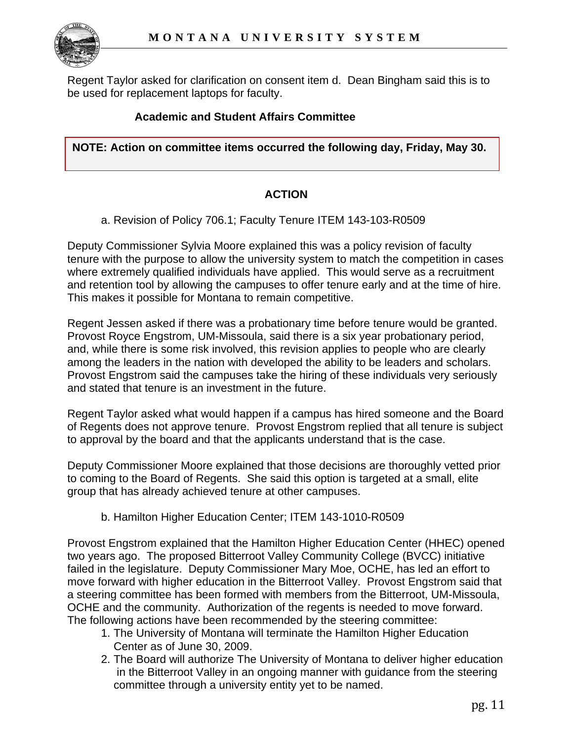

Regent Taylor asked for clarification on consent item d. Dean Bingham said this is to be used for replacement laptops for faculty.

## **Academic and Student Affairs Committee**

**NOTE: Action on committee items occurred the following day, Friday, May 30.** 

### **ACTION**

a. Revision of Policy 706.1; Faculty Tenure ITEM 143-103-R0509

Deputy Commissioner Sylvia Moore explained this was a policy revision of faculty tenure with the purpose to allow the university system to match the competition in cases where extremely qualified individuals have applied. This would serve as a recruitment and retention tool by allowing the campuses to offer tenure early and at the time of hire. This makes it possible for Montana to remain competitive.

Regent Jessen asked if there was a probationary time before tenure would be granted. Provost Royce Engstrom, UM-Missoula, said there is a six year probationary period, and, while there is some risk involved, this revision applies to people who are clearly among the leaders in the nation with developed the ability to be leaders and scholars. Provost Engstrom said the campuses take the hiring of these individuals very seriously and stated that tenure is an investment in the future.

Regent Taylor asked what would happen if a campus has hired someone and the Board of Regents does not approve tenure. Provost Engstrom replied that all tenure is subject to approval by the board and that the applicants understand that is the case.

Deputy Commissioner Moore explained that those decisions are thoroughly vetted prior to coming to the Board of Regents. She said this option is targeted at a small, elite group that has already achieved tenure at other campuses.

#### b. Hamilton Higher Education Center; ITEM 143-1010-R0509

Provost Engstrom explained that the Hamilton Higher Education Center (HHEC) opened two years ago. The proposed Bitterroot Valley Community College (BVCC) initiative failed in the legislature. Deputy Commissioner Mary Moe, OCHE, has led an effort to move forward with higher education in the Bitterroot Valley. Provost Engstrom said that a steering committee has been formed with members from the Bitterroot, UM-Missoula, OCHE and the community. Authorization of the regents is needed to move forward. The following actions have been recommended by the steering committee:

- 1. The University of Montana will terminate the Hamilton Higher Education Center as of June 30, 2009.
- 2. The Board will authorize The University of Montana to deliver higher education in the Bitterroot Valley in an ongoing manner with guidance from the steering committee through a university entity yet to be named.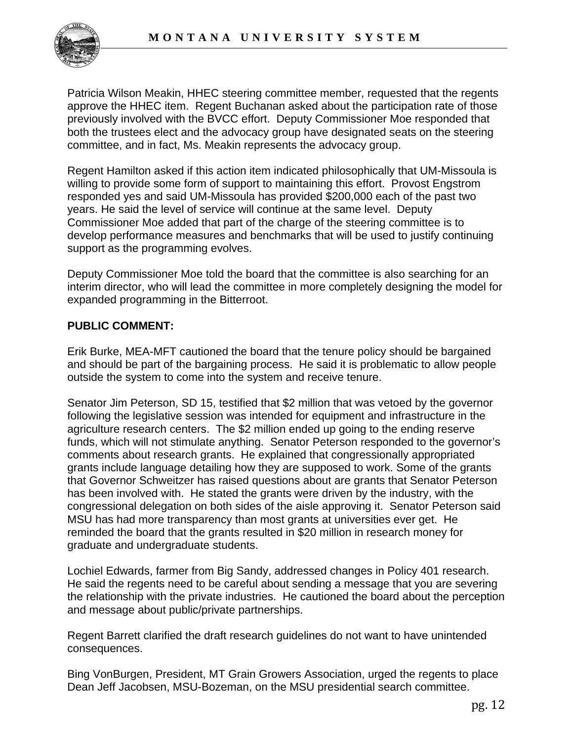

Patricia Wilson Meakin, HHEC steering committee member, requested that the regents approve the HHEC item. Regent Buchanan asked about the participation rate of those previously involved with the BVCC effort. Deputy Commissioner Moe responded that both the trustees elect and the advocacy group have designated seats on the steering committee, and in fact, Ms. Meakin represents the advocacy group.

Regent Hamilton asked if this action item indicated philosophically that UM-Missoula is willing to provide some form of support to maintaining this effort. Provost Engstrom responded yes and said UM-Missoula has provided \$200,000 each of the past two years. He said the level of service will continue at the same level. Deputy Commissioner Moe added that part of the charge of the steering committee is to develop performance measures and benchmarks that will be used to justify continuing support as the programming evolves.

Deputy Commissioner Moe told the board that the committee is also searching for an interim director, who will lead the committee in more completely designing the model for expanded programming in the Bitterroot.

## **PUBLIC COMMENT:**

Erik Burke, MEA-MFT cautioned the board that the tenure policy should be bargained and should be part of the bargaining process. He said it is problematic to allow people outside the system to come into the system and receive tenure.

Senator Jim Peterson, SD 15, testified that \$2 million that was vetoed by the governor following the legislative session was intended for equipment and infrastructure in the agriculture research centers. The \$2 million ended up going to the ending reserve funds, which will not stimulate anything. Senator Peterson responded to the governor's comments about research grants. He explained that congressionally appropriated grants include language detailing how they are supposed to work. Some of the grants that Governor Schweitzer has raised questions about are grants that Senator Peterson has been involved with. He stated the grants were driven by the industry, with the congressional delegation on both sides of the aisle approving it. Senator Peterson said MSU has had more transparency than most grants at universities ever get. He reminded the board that the grants resulted in \$20 million in research money for graduate and undergraduate students.

Lochiel Edwards, farmer from Big Sandy, addressed changes in Policy 401 research. He said the regents need to be careful about sending a message that you are severing the relationship with the private industries. He cautioned the board about the perception and message about public/private partnerships.

Regent Barrett clarified the draft research guidelines do not want to have unintended consequences.

Bing VonBurgen, President, MT Grain Growers Association, urged the regents to place Dean Jeff Jacobsen, MSU-Bozeman, on the MSU presidential search committee.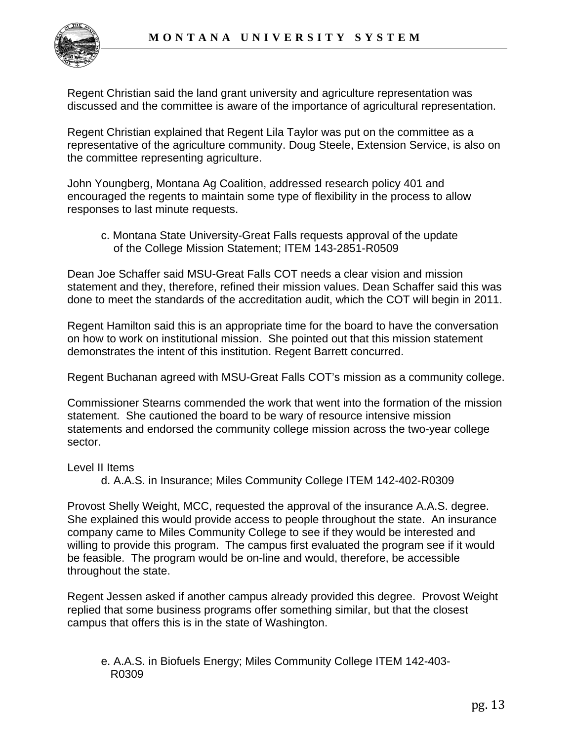

Regent Christian said the land grant university and agriculture representation was discussed and the committee is aware of the importance of agricultural representation.

Regent Christian explained that Regent Lila Taylor was put on the committee as a representative of the agriculture community. Doug Steele, Extension Service, is also on the committee representing agriculture.

John Youngberg, Montana Ag Coalition, addressed research policy 401 and encouraged the regents to maintain some type of flexibility in the process to allow responses to last minute requests.

 c. Montana State University-Great Falls requests approval of the update of the College Mission Statement; ITEM 143-2851-R0509

Dean Joe Schaffer said MSU-Great Falls COT needs a clear vision and mission statement and they, therefore, refined their mission values. Dean Schaffer said this was done to meet the standards of the accreditation audit, which the COT will begin in 2011.

Regent Hamilton said this is an appropriate time for the board to have the conversation on how to work on institutional mission. She pointed out that this mission statement demonstrates the intent of this institution. Regent Barrett concurred.

Regent Buchanan agreed with MSU-Great Falls COT's mission as a community college.

Commissioner Stearns commended the work that went into the formation of the mission statement. She cautioned the board to be wary of resource intensive mission statements and endorsed the community college mission across the two-year college sector.

Level II Items

d. A.A.S. in Insurance; Miles Community College ITEM 142-402-R0309

Provost Shelly Weight, MCC, requested the approval of the insurance A.A.S. degree. She explained this would provide access to people throughout the state. An insurance company came to Miles Community College to see if they would be interested and willing to provide this program. The campus first evaluated the program see if it would be feasible. The program would be on-line and would, therefore, be accessible throughout the state.

Regent Jessen asked if another campus already provided this degree. Provost Weight replied that some business programs offer something similar, but that the closest campus that offers this is in the state of Washington.

 e. A.A.S. in Biofuels Energy; Miles Community College ITEM 142-403- R0309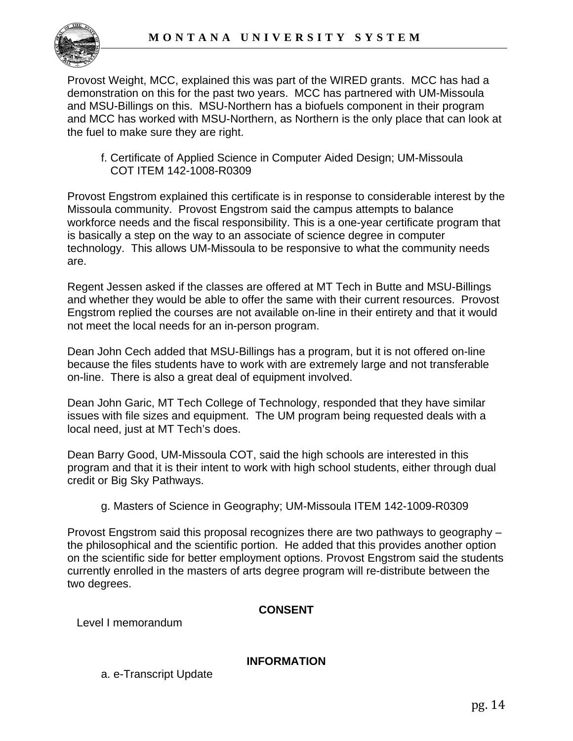

Provost Weight, MCC, explained this was part of the WIRED grants. MCC has had a demonstration on this for the past two years. MCC has partnered with UM-Missoula and MSU-Billings on this. MSU-Northern has a biofuels component in their program and MCC has worked with MSU-Northern, as Northern is the only place that can look at the fuel to make sure they are right.

 f. Certificate of Applied Science in Computer Aided Design; UM-Missoula COT ITEM 142-1008-R0309

Provost Engstrom explained this certificate is in response to considerable interest by the Missoula community. Provost Engstrom said the campus attempts to balance workforce needs and the fiscal responsibility. This is a one-year certificate program that is basically a step on the way to an associate of science degree in computer technology. This allows UM-Missoula to be responsive to what the community needs are.

Regent Jessen asked if the classes are offered at MT Tech in Butte and MSU-Billings and whether they would be able to offer the same with their current resources. Provost Engstrom replied the courses are not available on-line in their entirety and that it would not meet the local needs for an in-person program.

Dean John Cech added that MSU-Billings has a program, but it is not offered on-line because the files students have to work with are extremely large and not transferable on-line. There is also a great deal of equipment involved.

Dean John Garic, MT Tech College of Technology, responded that they have similar issues with file sizes and equipment. The UM program being requested deals with a local need, just at MT Tech's does.

Dean Barry Good, UM-Missoula COT, said the high schools are interested in this program and that it is their intent to work with high school students, either through dual credit or Big Sky Pathways.

## g. Masters of Science in Geography; UM-Missoula ITEM 142-1009-R0309

Provost Engstrom said this proposal recognizes there are two pathways to geography – the philosophical and the scientific portion. He added that this provides another option on the scientific side for better employment options. Provost Engstrom said the students currently enrolled in the masters of arts degree program will re-distribute between the two degrees.

#### **CONSENT**

Level I memorandum

#### **INFORMATION**

a. e-Transcript Update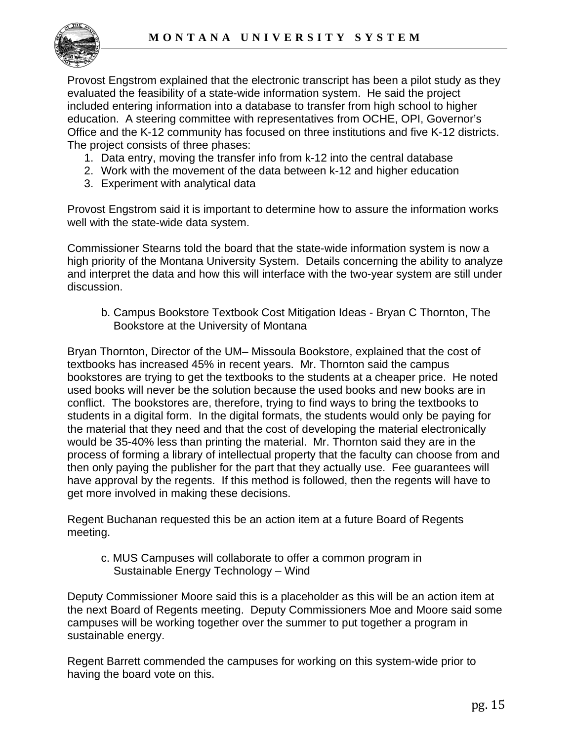

Provost Engstrom explained that the electronic transcript has been a pilot study as they evaluated the feasibility of a state-wide information system. He said the project included entering information into a database to transfer from high school to higher education. A steering committee with representatives from OCHE, OPI, Governor's Office and the K-12 community has focused on three institutions and five K-12 districts. The project consists of three phases:

- 1. Data entry, moving the transfer info from k-12 into the central database
- 2. Work with the movement of the data between k-12 and higher education
- 3. Experiment with analytical data

Provost Engstrom said it is important to determine how to assure the information works well with the state-wide data system.

Commissioner Stearns told the board that the state-wide information system is now a high priority of the Montana University System. Details concerning the ability to analyze and interpret the data and how this will interface with the two-year system are still under discussion.

 b. Campus Bookstore Textbook Cost Mitigation Ideas - Bryan C Thornton, The Bookstore at the University of Montana

Bryan Thornton, Director of the UM– Missoula Bookstore, explained that the cost of textbooks has increased 45% in recent years. Mr. Thornton said the campus bookstores are trying to get the textbooks to the students at a cheaper price. He noted used books will never be the solution because the used books and new books are in conflict. The bookstores are, therefore, trying to find ways to bring the textbooks to students in a digital form. In the digital formats, the students would only be paying for the material that they need and that the cost of developing the material electronically would be 35-40% less than printing the material. Mr. Thornton said they are in the process of forming a library of intellectual property that the faculty can choose from and then only paying the publisher for the part that they actually use. Fee guarantees will have approval by the regents. If this method is followed, then the regents will have to get more involved in making these decisions.

Regent Buchanan requested this be an action item at a future Board of Regents meeting.

 c. MUS Campuses will collaborate to offer a common program in Sustainable Energy Technology – Wind

Deputy Commissioner Moore said this is a placeholder as this will be an action item at the next Board of Regents meeting. Deputy Commissioners Moe and Moore said some campuses will be working together over the summer to put together a program in sustainable energy.

Regent Barrett commended the campuses for working on this system-wide prior to having the board vote on this.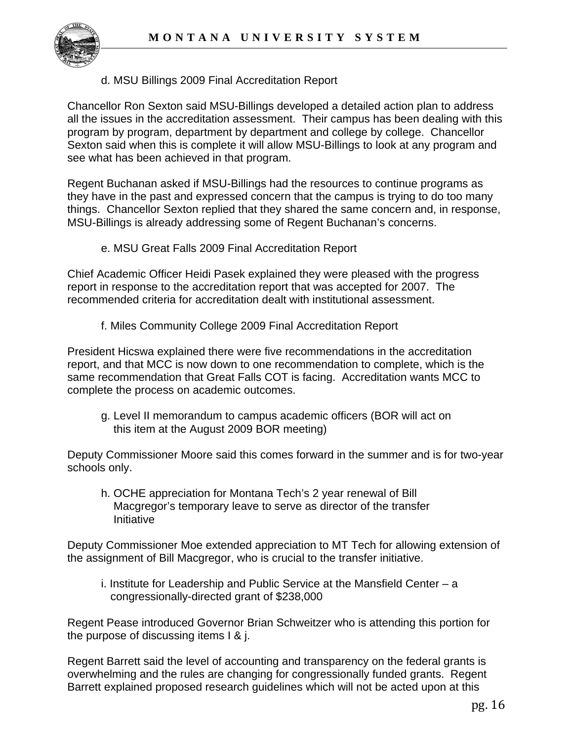

## d. MSU Billings 2009 Final Accreditation Report

Chancellor Ron Sexton said MSU-Billings developed a detailed action plan to address all the issues in the accreditation assessment. Their campus has been dealing with this program by program, department by department and college by college. Chancellor Sexton said when this is complete it will allow MSU-Billings to look at any program and see what has been achieved in that program.

Regent Buchanan asked if MSU-Billings had the resources to continue programs as they have in the past and expressed concern that the campus is trying to do too many things. Chancellor Sexton replied that they shared the same concern and, in response, MSU-Billings is already addressing some of Regent Buchanan's concerns.

e. MSU Great Falls 2009 Final Accreditation Report

Chief Academic Officer Heidi Pasek explained they were pleased with the progress report in response to the accreditation report that was accepted for 2007. The recommended criteria for accreditation dealt with institutional assessment.

f. Miles Community College 2009 Final Accreditation Report

President Hicswa explained there were five recommendations in the accreditation report, and that MCC is now down to one recommendation to complete, which is the same recommendation that Great Falls COT is facing. Accreditation wants MCC to complete the process on academic outcomes.

 g. Level II memorandum to campus academic officers (BOR will act on this item at the August 2009 BOR meeting)

Deputy Commissioner Moore said this comes forward in the summer and is for two-year schools only.

 h. OCHE appreciation for Montana Tech's 2 year renewal of Bill Macgregor's temporary leave to serve as director of the transfer Initiative

Deputy Commissioner Moe extended appreciation to MT Tech for allowing extension of the assignment of Bill Macgregor, who is crucial to the transfer initiative.

 i. Institute for Leadership and Public Service at the Mansfield Center – a congressionally-directed grant of \$238,000

Regent Pease introduced Governor Brian Schweitzer who is attending this portion for the purpose of discussing items I & j.

Regent Barrett said the level of accounting and transparency on the federal grants is overwhelming and the rules are changing for congressionally funded grants. Regent Barrett explained proposed research guidelines which will not be acted upon at this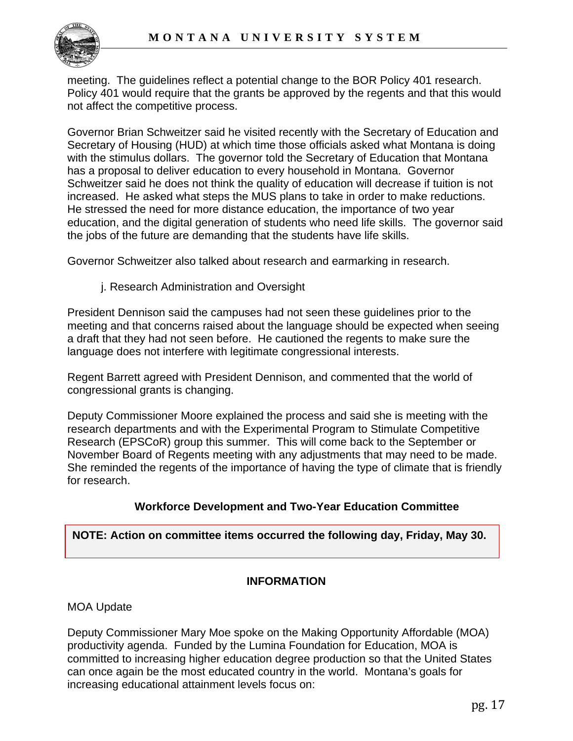

meeting. The guidelines reflect a potential change to the BOR Policy 401 research. Policy 401 would require that the grants be approved by the regents and that this would not affect the competitive process.

Governor Brian Schweitzer said he visited recently with the Secretary of Education and Secretary of Housing (HUD) at which time those officials asked what Montana is doing with the stimulus dollars. The governor told the Secretary of Education that Montana has a proposal to deliver education to every household in Montana. Governor Schweitzer said he does not think the quality of education will decrease if tuition is not increased. He asked what steps the MUS plans to take in order to make reductions. He stressed the need for more distance education, the importance of two year education, and the digital generation of students who need life skills. The governor said the jobs of the future are demanding that the students have life skills.

Governor Schweitzer also talked about research and earmarking in research.

j. Research Administration and Oversight

President Dennison said the campuses had not seen these guidelines prior to the meeting and that concerns raised about the language should be expected when seeing a draft that they had not seen before. He cautioned the regents to make sure the language does not interfere with legitimate congressional interests.

Regent Barrett agreed with President Dennison, and commented that the world of congressional grants is changing.

Deputy Commissioner Moore explained the process and said she is meeting with the research departments and with the Experimental Program to Stimulate Competitive Research (EPSCoR) group this summer. This will come back to the September or November Board of Regents meeting with any adjustments that may need to be made. She reminded the regents of the importance of having the type of climate that is friendly for research.

## **Workforce Development and Two-Year Education Committee**

#### **NOTE: Action on committee items occurred the following day, Friday, May 30.**

## **INFORMATION**

MOA Update

Deputy Commissioner Mary Moe spoke on the Making Opportunity Affordable (MOA) productivity agenda. Funded by the Lumina Foundation for Education, MOA is committed to increasing higher education degree production so that the United States can once again be the most educated country in the world. Montana's goals for increasing educational attainment levels focus on: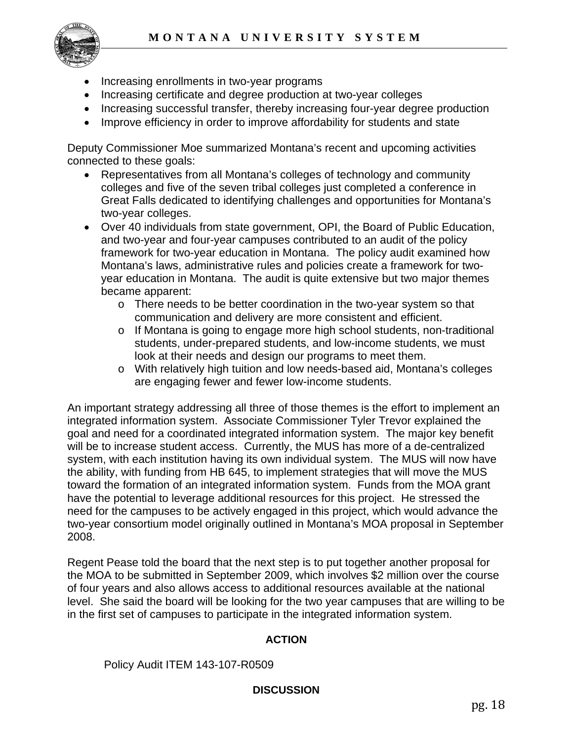

- Increasing enrollments in two-year programs
- Increasing certificate and degree production at two-year colleges
- Increasing successful transfer, thereby increasing four-year degree production
- Improve efficiency in order to improve affordability for students and state

Deputy Commissioner Moe summarized Montana's recent and upcoming activities connected to these goals:

- Representatives from all Montana's colleges of technology and community colleges and five of the seven tribal colleges just completed a conference in Great Falls dedicated to identifying challenges and opportunities for Montana's two-year colleges.
- Over 40 individuals from state government, OPI, the Board of Public Education, and two-year and four-year campuses contributed to an audit of the policy framework for two-year education in Montana. The policy audit examined how Montana's laws, administrative rules and policies create a framework for twoyear education in Montana. The audit is quite extensive but two major themes became apparent:
	- $\circ$  There needs to be better coordination in the two-year system so that communication and delivery are more consistent and efficient.
	- o If Montana is going to engage more high school students, non-traditional students, under-prepared students, and low-income students, we must look at their needs and design our programs to meet them.
	- o With relatively high tuition and low needs-based aid, Montana's colleges are engaging fewer and fewer low-income students.

An important strategy addressing all three of those themes is the effort to implement an integrated information system. Associate Commissioner Tyler Trevor explained the goal and need for a coordinated integrated information system. The major key benefit will be to increase student access. Currently, the MUS has more of a de-centralized system, with each institution having its own individual system. The MUS will now have the ability, with funding from HB 645, to implement strategies that will move the MUS toward the formation of an integrated information system. Funds from the MOA grant have the potential to leverage additional resources for this project. He stressed the need for the campuses to be actively engaged in this project, which would advance the two-year consortium model originally outlined in Montana's MOA proposal in September 2008.

Regent Pease told the board that the next step is to put together another proposal for the MOA to be submitted in September 2009, which involves \$2 million over the course of four years and also allows access to additional resources available at the national level. She said the board will be looking for the two year campuses that are willing to be in the first set of campuses to participate in the integrated information system.

#### **ACTION**

Policy Audit ITEM 143-107-R0509

#### **DISCUSSION**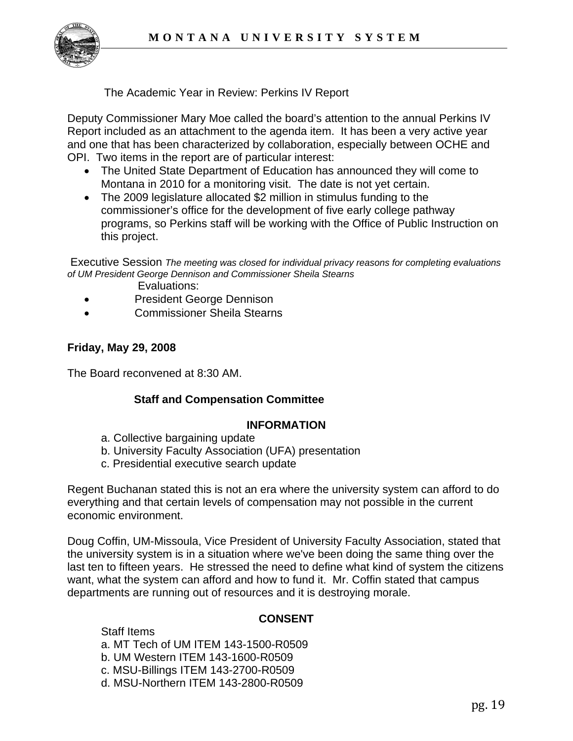

The Academic Year in Review: Perkins IV Report

Deputy Commissioner Mary Moe called the board's attention to the annual Perkins IV Report included as an attachment to the agenda item. It has been a very active year and one that has been characterized by collaboration, especially between OCHE and OPI. Two items in the report are of particular interest:

- The United State Department of Education has announced they will come to Montana in 2010 for a monitoring visit. The date is not yet certain.
- The 2009 legislature allocated \$2 million in stimulus funding to the commissioner's office for the development of five early college pathway programs, so Perkins staff will be working with the Office of Public Instruction on this project.

 Executive Session *The meeting was closed for individual privacy reasons for completing evaluations of UM President George Dennison and Commissioner Sheila Stearns*

- Evaluations:
- President George Dennison
- Commissioner Sheila Stearns

#### **Friday, May 29, 2008**

The Board reconvened at 8:30 AM.

#### **Staff and Compensation Committee**

#### **INFORMATION**

- a. Collective bargaining update
- b. University Faculty Association (UFA) presentation
- c. Presidential executive search update

Regent Buchanan stated this is not an era where the university system can afford to do everything and that certain levels of compensation may not possible in the current economic environment.

Doug Coffin, UM-Missoula, Vice President of University Faculty Association, stated that the university system is in a situation where we've been doing the same thing over the last ten to fifteen years. He stressed the need to define what kind of system the citizens want, what the system can afford and how to fund it. Mr. Coffin stated that campus departments are running out of resources and it is destroying morale.

#### **CONSENT**

 Staff Items a. MT Tech of UM ITEM 143-1500-R0509 b. UM Western ITEM 143-1600-R0509 c. MSU-Billings ITEM 143-2700-R0509 d. MSU-Northern ITEM 143-2800-R0509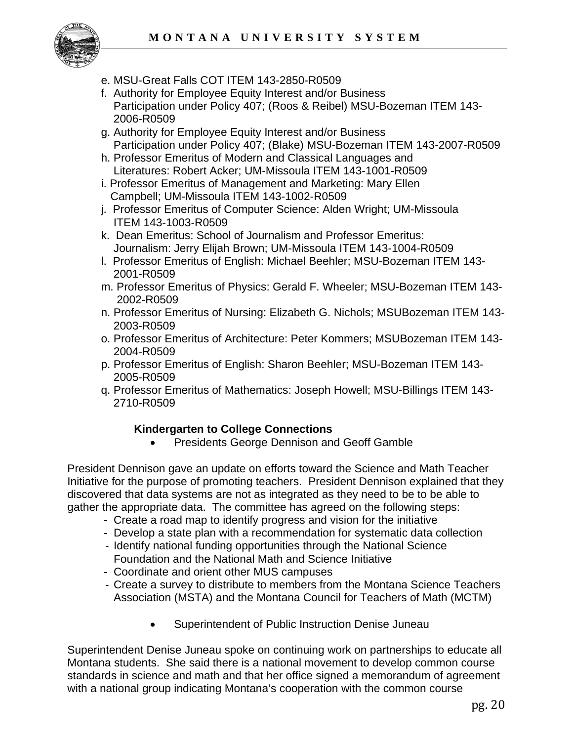

- e. MSU-Great Falls COT ITEM 143-2850-R0509
- f. Authority for Employee Equity Interest and/or Business Participation under Policy 407; (Roos & Reibel) MSU-Bozeman ITEM 143- 2006-R0509
- g. Authority for Employee Equity Interest and/or Business Participation under Policy 407; (Blake) MSU-Bozeman ITEM 143-2007-R0509
- h. Professor Emeritus of Modern and Classical Languages and Literatures: Robert Acker; UM-Missoula ITEM 143-1001-R0509
- i. Professor Emeritus of Management and Marketing: Mary Ellen Campbell; UM-Missoula ITEM 143-1002-R0509
- j. Professor Emeritus of Computer Science: Alden Wright; UM-Missoula ITEM 143-1003-R0509
- k. Dean Emeritus: School of Journalism and Professor Emeritus: Journalism: Jerry Elijah Brown; UM-Missoula ITEM 143-1004-R0509
- l. Professor Emeritus of English: Michael Beehler; MSU-Bozeman ITEM 143- 2001-R0509
- m. Professor Emeritus of Physics: Gerald F. Wheeler; MSU-Bozeman ITEM 143- 2002-R0509
- n. Professor Emeritus of Nursing: Elizabeth G. Nichols; MSUBozeman ITEM 143- 2003-R0509
- o. Professor Emeritus of Architecture: Peter Kommers; MSUBozeman ITEM 143- 2004-R0509
- p. Professor Emeritus of English: Sharon Beehler; MSU-Bozeman ITEM 143- 2005-R0509
- q. Professor Emeritus of Mathematics: Joseph Howell; MSU-Billings ITEM 143- 2710-R0509

## **Kindergarten to College Connections**

• Presidents George Dennison and Geoff Gamble

President Dennison gave an update on efforts toward the Science and Math Teacher Initiative for the purpose of promoting teachers. President Dennison explained that they discovered that data systems are not as integrated as they need to be to be able to gather the appropriate data. The committee has agreed on the following steps:

- Create a road map to identify progress and vision for the initiative
- Develop a state plan with a recommendation for systematic data collection
- Identify national funding opportunities through the National Science Foundation and the National Math and Science Initiative
- Coordinate and orient other MUS campuses
- Create a survey to distribute to members from the Montana Science Teachers Association (MSTA) and the Montana Council for Teachers of Math (MCTM)
	- Superintendent of Public Instruction Denise Juneau

Superintendent Denise Juneau spoke on continuing work on partnerships to educate all Montana students. She said there is a national movement to develop common course standards in science and math and that her office signed a memorandum of agreement with a national group indicating Montana's cooperation with the common course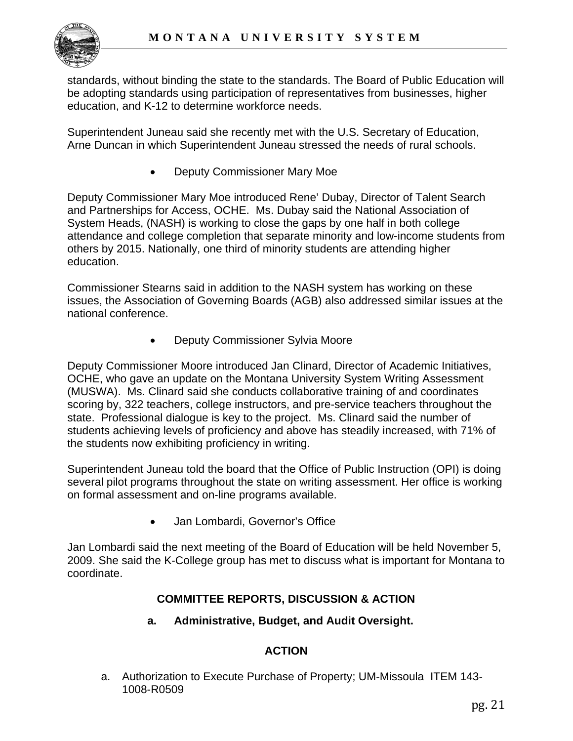

standards, without binding the state to the standards. The Board of Public Education will be adopting standards using participation of representatives from businesses, higher education, and K-12 to determine workforce needs.

Superintendent Juneau said she recently met with the U.S. Secretary of Education, Arne Duncan in which Superintendent Juneau stressed the needs of rural schools.

• Deputy Commissioner Mary Moe

Deputy Commissioner Mary Moe introduced Rene' Dubay, Director of Talent Search and Partnerships for Access, OCHE. Ms. Dubay said the National Association of System Heads, (NASH) is working to close the gaps by one half in both college attendance and college completion that separate minority and low-income students from others by 2015. Nationally, one third of minority students are attending higher education.

Commissioner Stearns said in addition to the NASH system has working on these issues, the Association of Governing Boards (AGB) also addressed similar issues at the national conference.

• Deputy Commissioner Sylvia Moore

Deputy Commissioner Moore introduced Jan Clinard, Director of Academic Initiatives, OCHE, who gave an update on the Montana University System Writing Assessment (MUSWA). Ms. Clinard said she conducts collaborative training of and coordinates scoring by, 322 teachers, college instructors, and pre-service teachers throughout the state. Professional dialogue is key to the project. Ms. Clinard said the number of students achieving levels of proficiency and above has steadily increased, with 71% of the students now exhibiting proficiency in writing.

Superintendent Juneau told the board that the Office of Public Instruction (OPI) is doing several pilot programs throughout the state on writing assessment. Her office is working on formal assessment and on-line programs available.

• Jan Lombardi, Governor's Office

Jan Lombardi said the next meeting of the Board of Education will be held November 5, 2009. She said the K-College group has met to discuss what is important for Montana to coordinate.

# **COMMITTEE REPORTS, DISCUSSION & ACTION**

**a. Administrative, Budget, and Audit Oversight.** 

# **ACTION**

a. Authorization to Execute Purchase of Property; UM-Missoula ITEM 143- 1008-R0509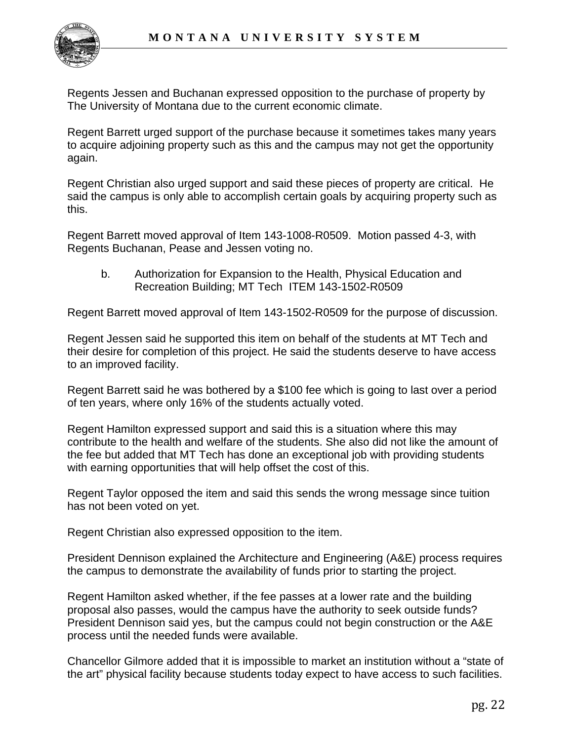

Regents Jessen and Buchanan expressed opposition to the purchase of property by The University of Montana due to the current economic climate.

Regent Barrett urged support of the purchase because it sometimes takes many years to acquire adjoining property such as this and the campus may not get the opportunity again.

Regent Christian also urged support and said these pieces of property are critical. He said the campus is only able to accomplish certain goals by acquiring property such as this.

Regent Barrett moved approval of Item 143-1008-R0509. Motion passed 4-3, with Regents Buchanan, Pease and Jessen voting no.

b. Authorization for Expansion to the Health, Physical Education and Recreation Building; MT Tech ITEM 143-1502-R0509

Regent Barrett moved approval of Item 143-1502-R0509 for the purpose of discussion.

Regent Jessen said he supported this item on behalf of the students at MT Tech and their desire for completion of this project. He said the students deserve to have access to an improved facility.

Regent Barrett said he was bothered by a \$100 fee which is going to last over a period of ten years, where only 16% of the students actually voted.

Regent Hamilton expressed support and said this is a situation where this may contribute to the health and welfare of the students. She also did not like the amount of the fee but added that MT Tech has done an exceptional job with providing students with earning opportunities that will help offset the cost of this.

Regent Taylor opposed the item and said this sends the wrong message since tuition has not been voted on yet.

Regent Christian also expressed opposition to the item.

President Dennison explained the Architecture and Engineering (A&E) process requires the campus to demonstrate the availability of funds prior to starting the project.

Regent Hamilton asked whether, if the fee passes at a lower rate and the building proposal also passes, would the campus have the authority to seek outside funds? President Dennison said yes, but the campus could not begin construction or the A&E process until the needed funds were available.

Chancellor Gilmore added that it is impossible to market an institution without a "state of the art" physical facility because students today expect to have access to such facilities.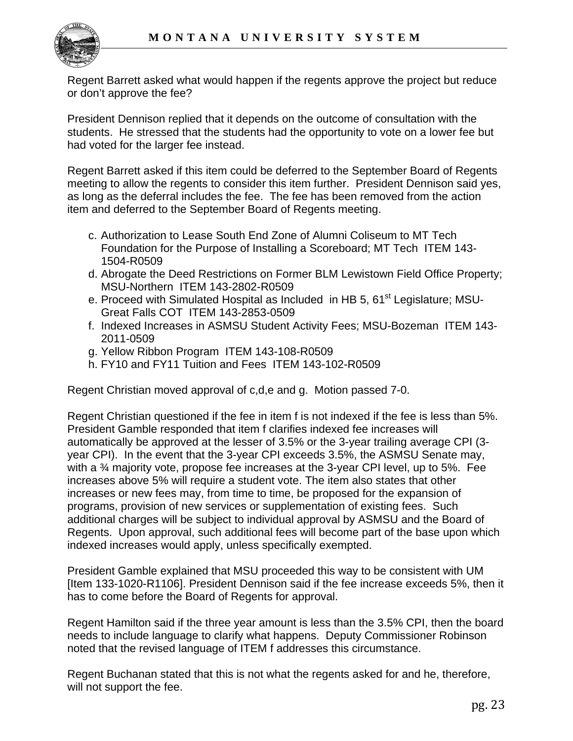

Regent Barrett asked what would happen if the regents approve the project but reduce or don't approve the fee?

President Dennison replied that it depends on the outcome of consultation with the students. He stressed that the students had the opportunity to vote on a lower fee but had voted for the larger fee instead.

Regent Barrett asked if this item could be deferred to the September Board of Regents meeting to allow the regents to consider this item further. President Dennison said yes, as long as the deferral includes the fee. The fee has been removed from the action item and deferred to the September Board of Regents meeting.

- c. Authorization to Lease South End Zone of Alumni Coliseum to MT Tech Foundation for the Purpose of Installing a Scoreboard; MT Tech ITEM 143- 1504-R0509
- d. Abrogate the Deed Restrictions on Former BLM Lewistown Field Office Property; MSU-Northern ITEM 143-2802-R0509
- e. Proceed with Simulated Hospital as Included in HB 5, 61<sup>st</sup> Legislature; MSU-Great Falls COT ITEM 143-2853-0509
- f. Indexed Increases in ASMSU Student Activity Fees; MSU-Bozeman ITEM 143- 2011-0509
- g. Yellow Ribbon Program ITEM 143-108-R0509
- h. FY10 and FY11 Tuition and Fees ITEM 143-102-R0509

Regent Christian moved approval of c,d,e and g. Motion passed 7-0.

Regent Christian questioned if the fee in item f is not indexed if the fee is less than 5%. President Gamble responded that item f clarifies indexed fee increases will automatically be approved at the lesser of 3.5% or the 3-year trailing average CPI (3 year CPI). In the event that the 3-year CPI exceeds 3.5%, the ASMSU Senate may, with a ¾ majority vote, propose fee increases at the 3-year CPI level, up to 5%. Fee increases above 5% will require a student vote. The item also states that other increases or new fees may, from time to time, be proposed for the expansion of programs, provision of new services or supplementation of existing fees. Such additional charges will be subject to individual approval by ASMSU and the Board of Regents. Upon approval, such additional fees will become part of the base upon which indexed increases would apply, unless specifically exempted.

President Gamble explained that MSU proceeded this way to be consistent with UM [Item 133-1020-R1106]. President Dennison said if the fee increase exceeds 5%, then it has to come before the Board of Regents for approval.

Regent Hamilton said if the three year amount is less than the 3.5% CPI, then the board needs to include language to clarify what happens. Deputy Commissioner Robinson noted that the revised language of ITEM f addresses this circumstance.

Regent Buchanan stated that this is not what the regents asked for and he, therefore, will not support the fee.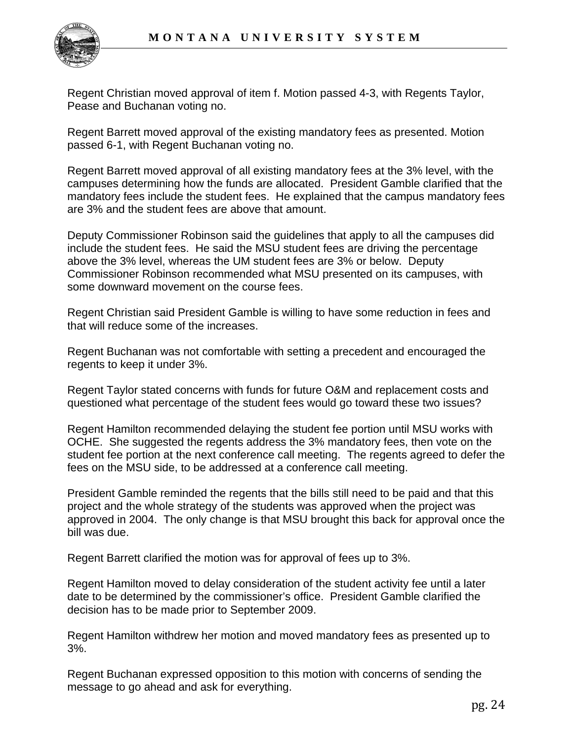

Regent Christian moved approval of item f. Motion passed 4-3, with Regents Taylor, Pease and Buchanan voting no.

Regent Barrett moved approval of the existing mandatory fees as presented. Motion passed 6-1, with Regent Buchanan voting no.

Regent Barrett moved approval of all existing mandatory fees at the 3% level, with the campuses determining how the funds are allocated. President Gamble clarified that the mandatory fees include the student fees. He explained that the campus mandatory fees are 3% and the student fees are above that amount.

Deputy Commissioner Robinson said the guidelines that apply to all the campuses did include the student fees. He said the MSU student fees are driving the percentage above the 3% level, whereas the UM student fees are 3% or below. Deputy Commissioner Robinson recommended what MSU presented on its campuses, with some downward movement on the course fees.

Regent Christian said President Gamble is willing to have some reduction in fees and that will reduce some of the increases.

Regent Buchanan was not comfortable with setting a precedent and encouraged the regents to keep it under 3%.

Regent Taylor stated concerns with funds for future O&M and replacement costs and questioned what percentage of the student fees would go toward these two issues?

Regent Hamilton recommended delaying the student fee portion until MSU works with OCHE. She suggested the regents address the 3% mandatory fees, then vote on the student fee portion at the next conference call meeting. The regents agreed to defer the fees on the MSU side, to be addressed at a conference call meeting.

President Gamble reminded the regents that the bills still need to be paid and that this project and the whole strategy of the students was approved when the project was approved in 2004. The only change is that MSU brought this back for approval once the bill was due.

Regent Barrett clarified the motion was for approval of fees up to 3%.

Regent Hamilton moved to delay consideration of the student activity fee until a later date to be determined by the commissioner's office. President Gamble clarified the decision has to be made prior to September 2009.

Regent Hamilton withdrew her motion and moved mandatory fees as presented up to 3%.

Regent Buchanan expressed opposition to this motion with concerns of sending the message to go ahead and ask for everything.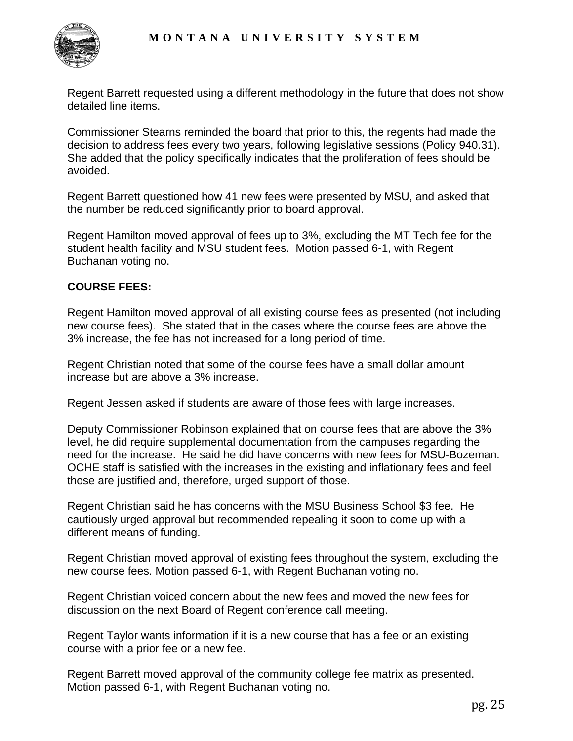

Regent Barrett requested using a different methodology in the future that does not show detailed line items.

Commissioner Stearns reminded the board that prior to this, the regents had made the decision to address fees every two years, following legislative sessions (Policy 940.31). She added that the policy specifically indicates that the proliferation of fees should be avoided.

Regent Barrett questioned how 41 new fees were presented by MSU, and asked that the number be reduced significantly prior to board approval.

Regent Hamilton moved approval of fees up to 3%, excluding the MT Tech fee for the student health facility and MSU student fees. Motion passed 6-1, with Regent Buchanan voting no.

#### **COURSE FEES:**

Regent Hamilton moved approval of all existing course fees as presented (not including new course fees). She stated that in the cases where the course fees are above the 3% increase, the fee has not increased for a long period of time.

Regent Christian noted that some of the course fees have a small dollar amount increase but are above a 3% increase.

Regent Jessen asked if students are aware of those fees with large increases.

Deputy Commissioner Robinson explained that on course fees that are above the 3% level, he did require supplemental documentation from the campuses regarding the need for the increase. He said he did have concerns with new fees for MSU-Bozeman. OCHE staff is satisfied with the increases in the existing and inflationary fees and feel those are justified and, therefore, urged support of those.

Regent Christian said he has concerns with the MSU Business School \$3 fee. He cautiously urged approval but recommended repealing it soon to come up with a different means of funding.

Regent Christian moved approval of existing fees throughout the system, excluding the new course fees. Motion passed 6-1, with Regent Buchanan voting no.

Regent Christian voiced concern about the new fees and moved the new fees for discussion on the next Board of Regent conference call meeting.

Regent Taylor wants information if it is a new course that has a fee or an existing course with a prior fee or a new fee.

Regent Barrett moved approval of the community college fee matrix as presented. Motion passed 6-1, with Regent Buchanan voting no.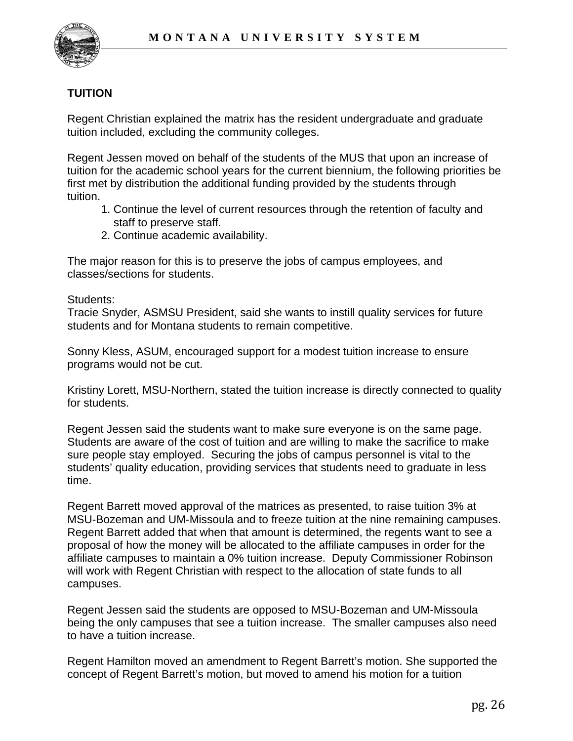

## **TUITION**

Regent Christian explained the matrix has the resident undergraduate and graduate tuition included, excluding the community colleges.

Regent Jessen moved on behalf of the students of the MUS that upon an increase of tuition for the academic school years for the current biennium, the following priorities be first met by distribution the additional funding provided by the students through tuition.

- 1. Continue the level of current resources through the retention of faculty and staff to preserve staff.
- 2. Continue academic availability.

The major reason for this is to preserve the jobs of campus employees, and classes/sections for students.

Students:

Tracie Snyder, ASMSU President, said she wants to instill quality services for future students and for Montana students to remain competitive.

Sonny Kless, ASUM, encouraged support for a modest tuition increase to ensure programs would not be cut.

Kristiny Lorett, MSU-Northern, stated the tuition increase is directly connected to quality for students.

Regent Jessen said the students want to make sure everyone is on the same page. Students are aware of the cost of tuition and are willing to make the sacrifice to make sure people stay employed. Securing the jobs of campus personnel is vital to the students' quality education, providing services that students need to graduate in less time.

Regent Barrett moved approval of the matrices as presented, to raise tuition 3% at MSU-Bozeman and UM-Missoula and to freeze tuition at the nine remaining campuses. Regent Barrett added that when that amount is determined, the regents want to see a proposal of how the money will be allocated to the affiliate campuses in order for the affiliate campuses to maintain a 0% tuition increase. Deputy Commissioner Robinson will work with Regent Christian with respect to the allocation of state funds to all campuses.

Regent Jessen said the students are opposed to MSU-Bozeman and UM-Missoula being the only campuses that see a tuition increase. The smaller campuses also need to have a tuition increase.

Regent Hamilton moved an amendment to Regent Barrett's motion. She supported the concept of Regent Barrett's motion, but moved to amend his motion for a tuition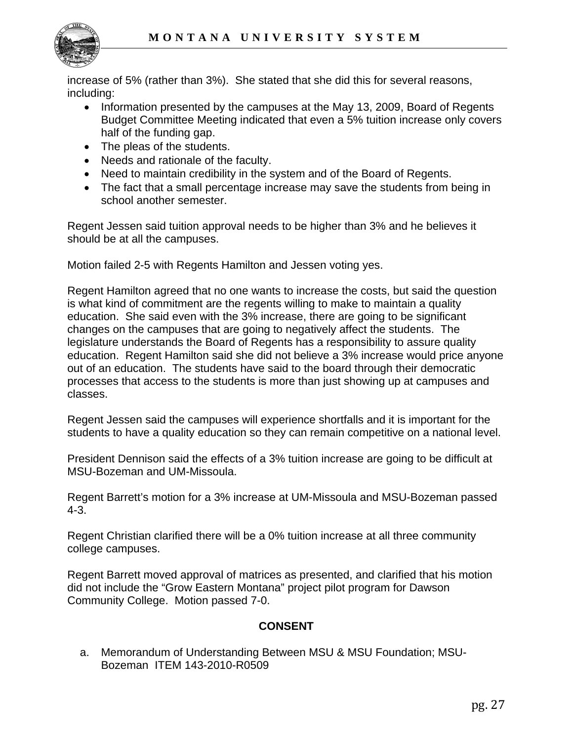

increase of 5% (rather than 3%). She stated that she did this for several reasons, including:

- Information presented by the campuses at the May 13, 2009, Board of Regents Budget Committee Meeting indicated that even a 5% tuition increase only covers half of the funding gap.
- The pleas of the students.
- Needs and rationale of the faculty.
- Need to maintain credibility in the system and of the Board of Regents.
- The fact that a small percentage increase may save the students from being in school another semester.

Regent Jessen said tuition approval needs to be higher than 3% and he believes it should be at all the campuses.

Motion failed 2-5 with Regents Hamilton and Jessen voting yes.

Regent Hamilton agreed that no one wants to increase the costs, but said the question is what kind of commitment are the regents willing to make to maintain a quality education. She said even with the 3% increase, there are going to be significant changes on the campuses that are going to negatively affect the students. The legislature understands the Board of Regents has a responsibility to assure quality education. Regent Hamilton said she did not believe a 3% increase would price anyone out of an education. The students have said to the board through their democratic processes that access to the students is more than just showing up at campuses and classes.

Regent Jessen said the campuses will experience shortfalls and it is important for the students to have a quality education so they can remain competitive on a national level.

President Dennison said the effects of a 3% tuition increase are going to be difficult at MSU-Bozeman and UM-Missoula.

Regent Barrett's motion for a 3% increase at UM-Missoula and MSU-Bozeman passed 4-3.

Regent Christian clarified there will be a 0% tuition increase at all three community college campuses.

Regent Barrett moved approval of matrices as presented, and clarified that his motion did not include the "Grow Eastern Montana" project pilot program for Dawson Community College. Motion passed 7-0.

## **CONSENT**

 a. Memorandum of Understanding Between MSU & MSU Foundation; MSU- Bozeman ITEM 143-2010-R0509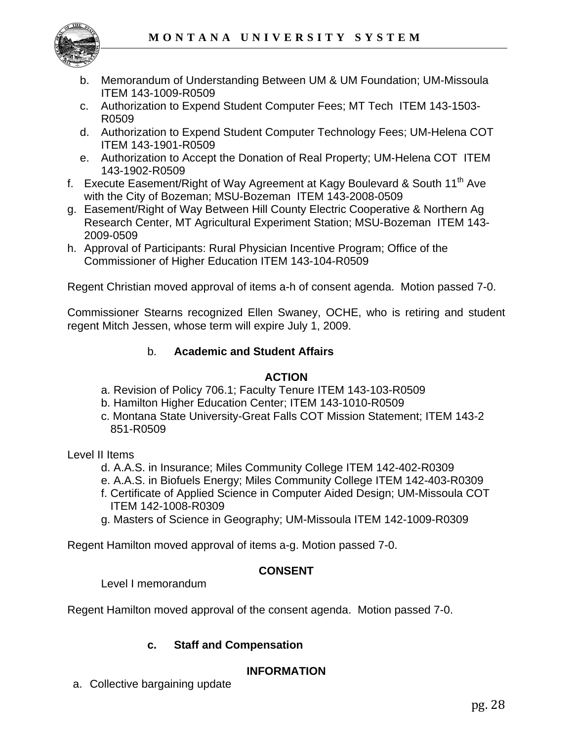

- b. Memorandum of Understanding Between UM & UM Foundation; UM-Missoula ITEM 143-1009-R0509
- c. Authorization to Expend Student Computer Fees; MT Tech ITEM 143-1503- R0509
- d. Authorization to Expend Student Computer Technology Fees; UM-Helena COT ITEM 143-1901-R0509
- e. Authorization to Accept the Donation of Real Property; UM-Helena COT ITEM 143-1902-R0509
- f. Execute Easement/Right of Way Agreement at Kagy Boulevard & South  $11<sup>th</sup>$  Ave with the City of Bozeman; MSU-Bozeman ITEM 143-2008-0509
- g. Easement/Right of Way Between Hill County Electric Cooperative & Northern Ag Research Center, MT Agricultural Experiment Station; MSU-Bozeman ITEM 143- 2009-0509
- h. Approval of Participants: Rural Physician Incentive Program; Office of the Commissioner of Higher Education ITEM 143-104-R0509

Regent Christian moved approval of items a-h of consent agenda. Motion passed 7-0.

Commissioner Stearns recognized Ellen Swaney, OCHE, who is retiring and student regent Mitch Jessen, whose term will expire July 1, 2009.

## b. **Academic and Student Affairs**

## **ACTION**

- a. Revision of Policy 706.1; Faculty Tenure ITEM 143-103-R0509
- b. Hamilton Higher Education Center; ITEM 143-1010-R0509
- c. Montana State University-Great Falls COT Mission Statement; ITEM 143-2 851-R0509

Level II Items

- d. A.A.S. in Insurance; Miles Community College ITEM 142-402-R0309
- e. A.A.S. in Biofuels Energy; Miles Community College ITEM 142-403-R0309
- f. Certificate of Applied Science in Computer Aided Design; UM-Missoula COT ITEM 142-1008-R0309
- g. Masters of Science in Geography; UM-Missoula ITEM 142-1009-R0309

Regent Hamilton moved approval of items a-g. Motion passed 7-0.

## **CONSENT**

Level I memorandum

Regent Hamilton moved approval of the consent agenda. Motion passed 7-0.

## **c. Staff and Compensation**

## **INFORMATION**

a. Collective bargaining update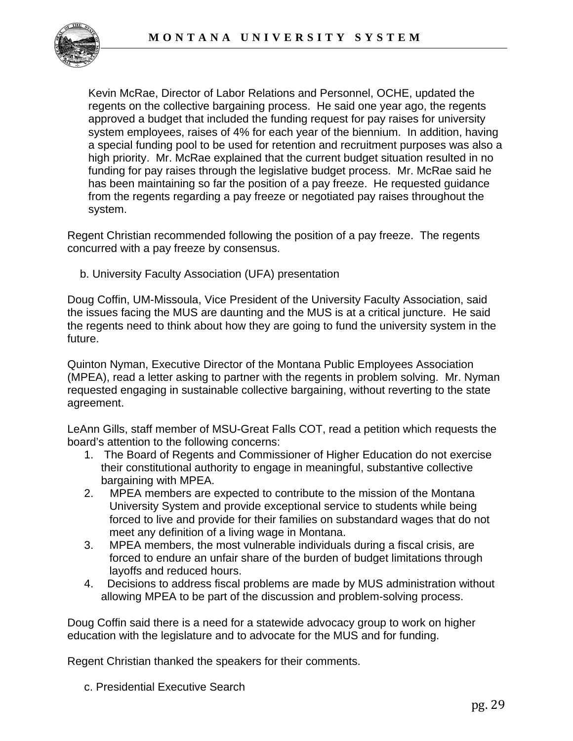

Kevin McRae, Director of Labor Relations and Personnel, OCHE, updated the regents on the collective bargaining process. He said one year ago, the regents approved a budget that included the funding request for pay raises for university system employees, raises of 4% for each year of the biennium. In addition, having a special funding pool to be used for retention and recruitment purposes was also a high priority. Mr. McRae explained that the current budget situation resulted in no funding for pay raises through the legislative budget process. Mr. McRae said he has been maintaining so far the position of a pay freeze. He requested guidance from the regents regarding a pay freeze or negotiated pay raises throughout the system.

Regent Christian recommended following the position of a pay freeze. The regents concurred with a pay freeze by consensus.

b. University Faculty Association (UFA) presentation

Doug Coffin, UM-Missoula, Vice President of the University Faculty Association, said the issues facing the MUS are daunting and the MUS is at a critical juncture. He said the regents need to think about how they are going to fund the university system in the future.

Quinton Nyman, Executive Director of the Montana Public Employees Association (MPEA), read a letter asking to partner with the regents in problem solving. Mr. Nyman requested engaging in sustainable collective bargaining, without reverting to the state agreement.

LeAnn Gills, staff member of MSU-Great Falls COT, read a petition which requests the board's attention to the following concerns:

- 1. The Board of Regents and Commissioner of Higher Education do not exercise their constitutional authority to engage in meaningful, substantive collective bargaining with MPEA.
- 2. MPEA members are expected to contribute to the mission of the Montana University System and provide exceptional service to students while being forced to live and provide for their families on substandard wages that do not meet any definition of a living wage in Montana.
- 3. MPEA members, the most vulnerable individuals during a fiscal crisis, are forced to endure an unfair share of the burden of budget limitations through layoffs and reduced hours.
- 4. Decisions to address fiscal problems are made by MUS administration without allowing MPEA to be part of the discussion and problem-solving process.

Doug Coffin said there is a need for a statewide advocacy group to work on higher education with the legislature and to advocate for the MUS and for funding.

Regent Christian thanked the speakers for their comments.

c. Presidential Executive Search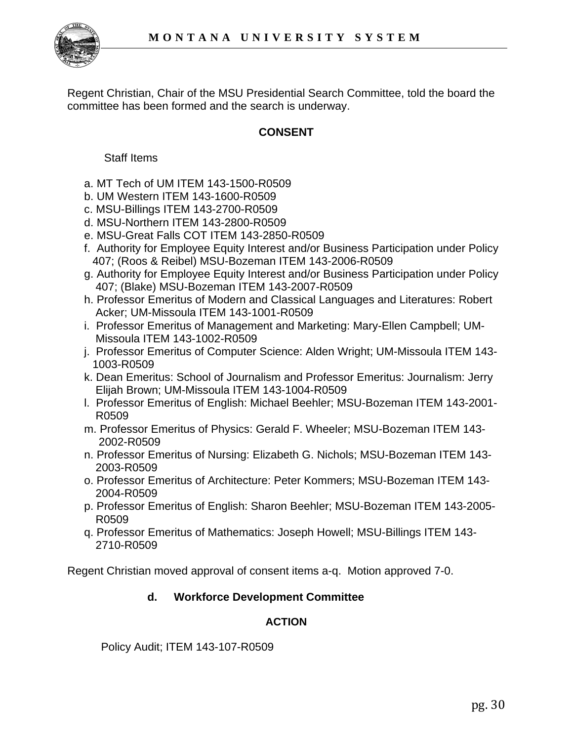

Regent Christian, Chair of the MSU Presidential Search Committee, told the board the committee has been formed and the search is underway.

## **CONSENT**

Staff Items

- a. MT Tech of UM ITEM 143-1500-R0509
- b. UM Western ITEM 143-1600-R0509
- c. MSU-Billings ITEM 143-2700-R0509
- d. MSU-Northern ITEM 143-2800-R0509
- e. MSU-Great Falls COT ITEM 143-2850-R0509
- f. Authority for Employee Equity Interest and/or Business Participation under Policy 407; (Roos & Reibel) MSU-Bozeman ITEM 143-2006-R0509
- g. Authority for Employee Equity Interest and/or Business Participation under Policy 407; (Blake) MSU-Bozeman ITEM 143-2007-R0509
- h. Professor Emeritus of Modern and Classical Languages and Literatures: Robert Acker; UM-Missoula ITEM 143-1001-R0509
- i. Professor Emeritus of Management and Marketing: Mary-Ellen Campbell; UM- Missoula ITEM 143-1002-R0509
- j. Professor Emeritus of Computer Science: Alden Wright; UM-Missoula ITEM 143- 1003-R0509
- k. Dean Emeritus: School of Journalism and Professor Emeritus: Journalism: Jerry Elijah Brown; UM-Missoula ITEM 143-1004-R0509
- l. Professor Emeritus of English: Michael Beehler; MSU-Bozeman ITEM 143-2001- R0509
- m. Professor Emeritus of Physics: Gerald F. Wheeler; MSU-Bozeman ITEM 143- 2002-R0509
- n. Professor Emeritus of Nursing: Elizabeth G. Nichols; MSU-Bozeman ITEM 143- 2003-R0509
- o. Professor Emeritus of Architecture: Peter Kommers; MSU-Bozeman ITEM 143- 2004-R0509
- p. Professor Emeritus of English: Sharon Beehler; MSU-Bozeman ITEM 143-2005- R0509
- q. Professor Emeritus of Mathematics: Joseph Howell; MSU-Billings ITEM 143- 2710-R0509

Regent Christian moved approval of consent items a-q. Motion approved 7-0.

## **d. Workforce Development Committee**

#### **ACTION**

Policy Audit; ITEM 143-107-R0509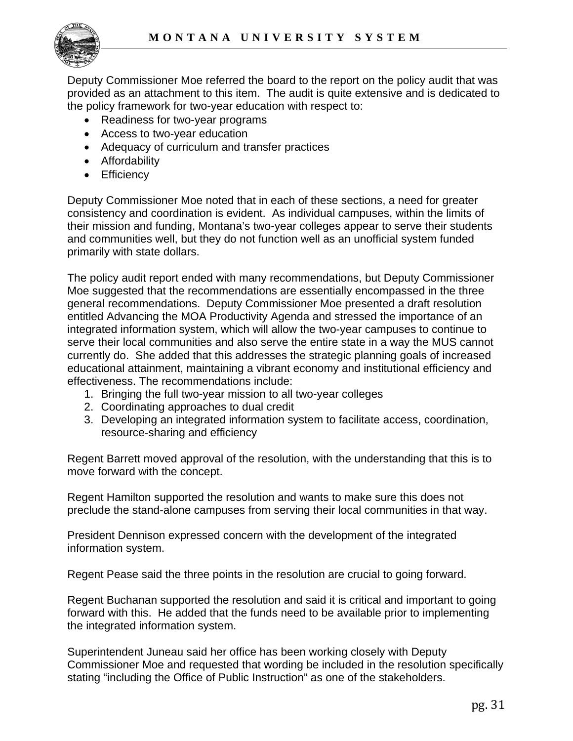

Deputy Commissioner Moe referred the board to the report on the policy audit that was provided as an attachment to this item. The audit is quite extensive and is dedicated to the policy framework for two-year education with respect to:

- Readiness for two-year programs
- Access to two-year education
- Adequacy of curriculum and transfer practices
- Affordability
- Efficiency

Deputy Commissioner Moe noted that in each of these sections, a need for greater consistency and coordination is evident. As individual campuses, within the limits of their mission and funding, Montana's two-year colleges appear to serve their students and communities well, but they do not function well as an unofficial system funded primarily with state dollars.

The policy audit report ended with many recommendations, but Deputy Commissioner Moe suggested that the recommendations are essentially encompassed in the three general recommendations. Deputy Commissioner Moe presented a draft resolution entitled Advancing the MOA Productivity Agenda and stressed the importance of an integrated information system, which will allow the two-year campuses to continue to serve their local communities and also serve the entire state in a way the MUS cannot currently do. She added that this addresses the strategic planning goals of increased educational attainment, maintaining a vibrant economy and institutional efficiency and effectiveness. The recommendations include:

- 1. Bringing the full two-year mission to all two-year colleges
- 2. Coordinating approaches to dual credit
- 3. Developing an integrated information system to facilitate access, coordination, resource-sharing and efficiency

Regent Barrett moved approval of the resolution, with the understanding that this is to move forward with the concept.

Regent Hamilton supported the resolution and wants to make sure this does not preclude the stand-alone campuses from serving their local communities in that way.

President Dennison expressed concern with the development of the integrated information system.

Regent Pease said the three points in the resolution are crucial to going forward.

Regent Buchanan supported the resolution and said it is critical and important to going forward with this. He added that the funds need to be available prior to implementing the integrated information system.

Superintendent Juneau said her office has been working closely with Deputy Commissioner Moe and requested that wording be included in the resolution specifically stating "including the Office of Public Instruction" as one of the stakeholders.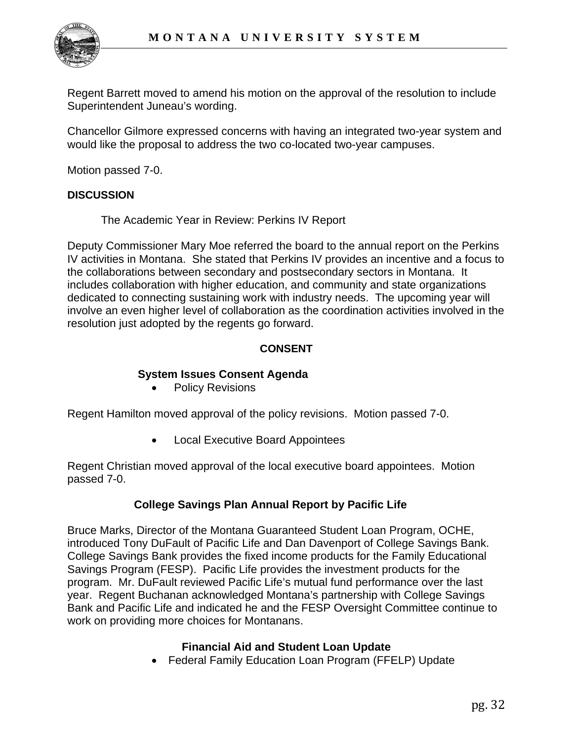

Regent Barrett moved to amend his motion on the approval of the resolution to include Superintendent Juneau's wording.

Chancellor Gilmore expressed concerns with having an integrated two-year system and would like the proposal to address the two co-located two-year campuses.

Motion passed 7-0.

#### **DISCUSSION**

The Academic Year in Review: Perkins IV Report

Deputy Commissioner Mary Moe referred the board to the annual report on the Perkins IV activities in Montana. She stated that Perkins IV provides an incentive and a focus to the collaborations between secondary and postsecondary sectors in Montana. It includes collaboration with higher education, and community and state organizations dedicated to connecting sustaining work with industry needs. The upcoming year will involve an even higher level of collaboration as the coordination activities involved in the resolution just adopted by the regents go forward.

#### **CONSENT**

#### **System Issues Consent Agenda**

Policy Revisions

Regent Hamilton moved approval of the policy revisions. Motion passed 7-0.

• Local Executive Board Appointees

Regent Christian moved approval of the local executive board appointees. Motion passed 7-0.

## **College Savings Plan Annual Report by Pacific Life**

Bruce Marks, Director of the Montana Guaranteed Student Loan Program, OCHE, introduced Tony DuFault of Pacific Life and Dan Davenport of College Savings Bank. College Savings Bank provides the fixed income products for the Family Educational Savings Program (FESP). Pacific Life provides the investment products for the program. Mr. DuFault reviewed Pacific Life's mutual fund performance over the last year. Regent Buchanan acknowledged Montana's partnership with College Savings Bank and Pacific Life and indicated he and the FESP Oversight Committee continue to work on providing more choices for Montanans.

#### **Financial Aid and Student Loan Update**

• Federal Family Education Loan Program (FFELP) Update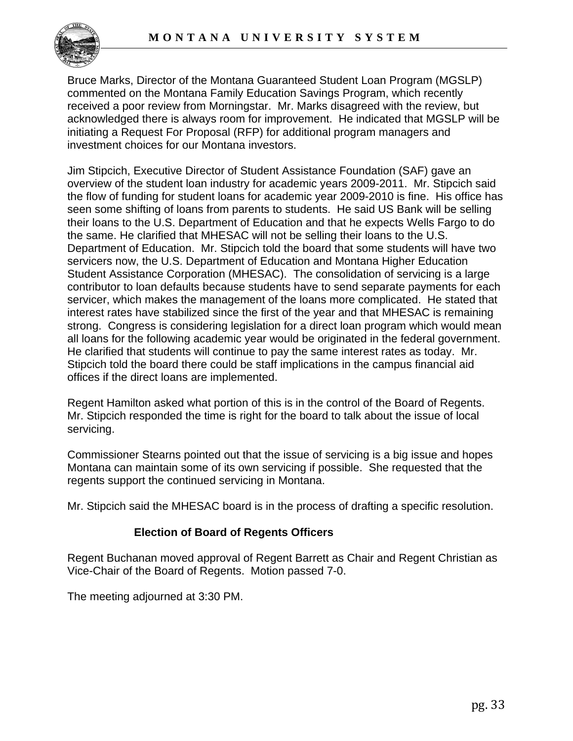

Bruce Marks, Director of the Montana Guaranteed Student Loan Program (MGSLP) commented on the Montana Family Education Savings Program, which recently received a poor review from Morningstar. Mr. Marks disagreed with the review, but acknowledged there is always room for improvement. He indicated that MGSLP will be initiating a Request For Proposal (RFP) for additional program managers and investment choices for our Montana investors.

Jim Stipcich, Executive Director of Student Assistance Foundation (SAF) gave an overview of the student loan industry for academic years 2009-2011. Mr. Stipcich said the flow of funding for student loans for academic year 2009-2010 is fine. His office has seen some shifting of loans from parents to students. He said US Bank will be selling their loans to the U.S. Department of Education and that he expects Wells Fargo to do the same. He clarified that MHESAC will not be selling their loans to the U.S. Department of Education. Mr. Stipcich told the board that some students will have two servicers now, the U.S. Department of Education and Montana Higher Education Student Assistance Corporation (MHESAC). The consolidation of servicing is a large contributor to loan defaults because students have to send separate payments for each servicer, which makes the management of the loans more complicated. He stated that interest rates have stabilized since the first of the year and that MHESAC is remaining strong. Congress is considering legislation for a direct loan program which would mean all loans for the following academic year would be originated in the federal government. He clarified that students will continue to pay the same interest rates as today. Mr. Stipcich told the board there could be staff implications in the campus financial aid offices if the direct loans are implemented.

Regent Hamilton asked what portion of this is in the control of the Board of Regents. Mr. Stipcich responded the time is right for the board to talk about the issue of local servicing.

Commissioner Stearns pointed out that the issue of servicing is a big issue and hopes Montana can maintain some of its own servicing if possible. She requested that the regents support the continued servicing in Montana.

Mr. Stipcich said the MHESAC board is in the process of drafting a specific resolution.

## **Election of Board of Regents Officers**

Regent Buchanan moved approval of Regent Barrett as Chair and Regent Christian as Vice-Chair of the Board of Regents. Motion passed 7-0.

The meeting adjourned at 3:30 PM.